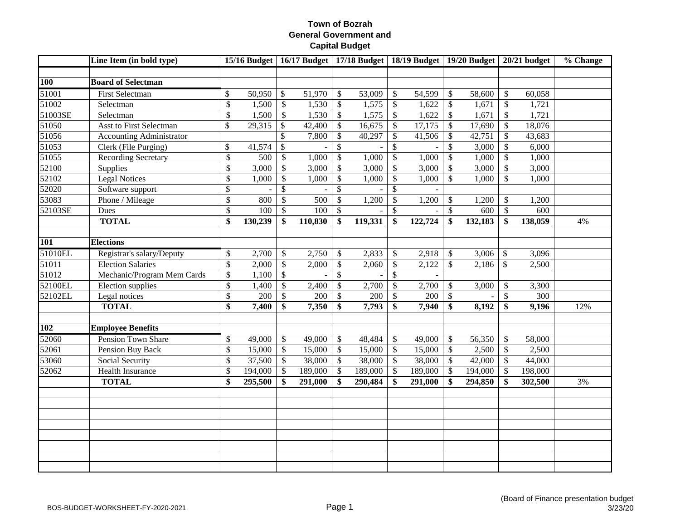|            | Line Item (in bold type)        |                 |                     |                          |         |                           |         |                           | 15/16 Budget   16/17 Budget   17/18 Budget   18/19 Budget   19/20 Budget   20/21 budget |                           |                    |                           |         | % Change |
|------------|---------------------------------|-----------------|---------------------|--------------------------|---------|---------------------------|---------|---------------------------|-----------------------------------------------------------------------------------------|---------------------------|--------------------|---------------------------|---------|----------|
| <b>100</b> | <b>Board of Selectman</b>       |                 |                     |                          |         |                           |         |                           |                                                                                         |                           |                    |                           |         |          |
| 51001      | <b>First Selectman</b>          | \$              | 50,950              | \$                       | 51,970  | \$                        | 53,009  | $\mathcal{S}$             | 54,599                                                                                  | $\boldsymbol{\mathsf{S}}$ | 58,600             | $\mathcal{S}$             | 60,058  |          |
| 51002      | Selectman                       | \$              | 1,500               | $\mathbb{S}$             | 1,530   | \$                        | 1,575   | $\mathcal{S}$             | 1,622                                                                                   | $\boldsymbol{\mathsf{S}}$ | 1,671              | $\mathcal{S}$             | 1,721   |          |
| 51003SE    | Selectman                       | \$              | 1,500               | $\$\,$                   | 1,530   | $\$\,$                    | 1,575   | $\boldsymbol{\mathsf{S}}$ | 1,622                                                                                   | $\boldsymbol{\mathsf{S}}$ | 1,671              | $\mathcal{S}$             | 1,721   |          |
| 51050      | <b>Asst to First Selectman</b>  | \$              | $\overline{29,315}$ | $\$\,$                   | 42,400  | $\overline{\$}$           | 16,675  | $\mathcal{S}$             | 17,175                                                                                  | $\mathcal{S}$             | 17,690             | $\mathcal{S}$             | 18,076  |          |
| 51056      | <b>Accounting Administrator</b> |                 |                     | $\overline{\$}$          | 7,800   | $\$$                      | 40,297  | $\mathcal{S}$             | 41,506                                                                                  | $\boldsymbol{\mathsf{S}}$ | 42,751             | $\boldsymbol{\mathsf{S}}$ | 43,683  |          |
| 51053      | Clerk (File Purging)            | \$              | 41,574              | $\overline{\mathcal{S}}$ |         | \$                        |         | $\mathcal{S}$             |                                                                                         | \$                        | 3,000              | $\mathcal{S}$             | 6,000   |          |
| 51055      | <b>Recording Secretary</b>      | $\overline{\$}$ | 500                 | $\mathbb{S}$             | 1,000   | $\mathsf{\$}$             | 1,000   | $\mathcal{S}$             | 1,000                                                                                   | $\mathcal{S}$             | 1,000              | $\mathcal{S}$             | 1,000   |          |
| 52100      | Supplies                        | \$              | 3,000               | \$                       | 3,000   | $\mathbb{S}$              | 3,000   | $\mathcal{S}$             | 3,000                                                                                   | $\sqrt[6]{3}$             | 3,000              | $\mathcal{S}$             | 3,000   |          |
| 52102      | <b>Legal Notices</b>            | \$              | 1,000               | $\overline{\mathcal{S}}$ | 1,000   | \$                        | 1,000   | $\mathcal{S}$             | 1,000                                                                                   | $\mathbb{S}$              | $\overline{1,000}$ | $\mathcal{S}$             | 1,000   |          |
| 52020      | Software support                | \$              |                     | \$                       |         | \$                        |         | $\mathcal{S}$             |                                                                                         |                           |                    |                           |         |          |
| 53083      | Phone / Mileage                 | \$              | 800                 | \$                       | 500     | $\mathsf{\$}$             | 1,200   | $\mathcal{S}$             | 1,200                                                                                   | $\boldsymbol{\mathsf{S}}$ | 1,200              | $\mathbb{S}$              | 1,200   |          |
| 52103SE    | Dues                            | $\overline{\$}$ | 100                 | $\mathbb{S}$             | 100     | $\mathcal{S}$             |         | $\mathcal{S}$             |                                                                                         | $\mathcal{S}$             | 600                | $\overline{\mathcal{S}}$  | 600     |          |
|            | <b>TOTAL</b>                    | \$              | 130,239             | \$                       | 110,830 | \$                        | 119,331 | \$                        | 122,724                                                                                 | \$                        | 132,183            | \$                        | 138,059 | 4%       |
|            |                                 |                 |                     |                          |         |                           |         |                           |                                                                                         |                           |                    |                           |         |          |
| <b>101</b> | <b>Elections</b>                |                 |                     |                          |         |                           |         |                           |                                                                                         |                           |                    |                           |         |          |
| 51010EL    | Registrar's salary/Deputy       | \$              | 2,700               | $\mathbb{S}$             | 2,750   | \$                        | 2,833   | $\boldsymbol{\mathsf{S}}$ | 2,918                                                                                   | $\boldsymbol{\mathsf{S}}$ | 3,006              | $\mathcal{S}$             | 3,096   |          |
| 51011      | <b>Election Salaries</b>        | \$              | 2,000               | $\mathcal{S}$            | 2,000   | $\$$                      | 2,060   | $\mathcal{S}$             | 2,122                                                                                   | $\mathcal{S}$             | 2,186              | $\mathbb{S}$              | 2,500   |          |
| 51012      | Mechanic/Program Mem Cards      | \$              | 1,100               | $\$$                     |         | $\mathbb{S}$              |         | $\mathcal{S}$             |                                                                                         |                           |                    |                           |         |          |
| 52100EL    | Election supplies               | \$              | 1,400               | \$                       | 2,400   | $\mathsf{\$}$             | 2,700   | $\mathcal{S}$             | 2,700                                                                                   | $\boldsymbol{\mathsf{S}}$ | 3,000              | $\mathcal{S}$             | 3,300   |          |
| 52102EL    | Legal notices                   | \$              | 200                 | $\mathbb{S}$             | 200     | $\mathbb{S}$              | 200     | $\mathcal{S}$             | 200                                                                                     | $\boldsymbol{\mathsf{S}}$ | $\blacksquare$     | $\mathcal{S}$             | 300     |          |
|            | <b>TOTAL</b>                    | \$              | 7,400               | \$                       | 7,350   | \$                        | 7,793   | \$                        | 7,940                                                                                   | \$                        | 8,192              | \$                        | 9,196   | 12%      |
|            |                                 |                 |                     |                          |         |                           |         |                           |                                                                                         |                           |                    |                           |         |          |
| 102        | <b>Employee Benefits</b>        |                 |                     |                          |         |                           |         |                           |                                                                                         |                           |                    |                           |         |          |
| 52060      | Pension Town Share              | \$              | 49,000              | $\$$                     | 49,000  | $\boldsymbol{\mathsf{S}}$ | 48,484  | $\boldsymbol{\mathsf{S}}$ | 49,000                                                                                  | $\boldsymbol{\mathsf{S}}$ | 56,350             | $\mathcal{S}$             | 58,000  |          |
| 52061      | <b>Pension Buy Back</b>         | \$              | 15,000              | $\mathbb{S}$             | 15,000  | \$                        | 15,000  | $\mathcal{S}$             | 15,000                                                                                  | $\boldsymbol{\mathsf{S}}$ | 2,500              | $\mathcal{S}$             | 2,500   |          |
| 53060      | Social Security                 | \$              | 37,500              | $\$$                     | 38,000  | \$                        | 38,000  | $\mathcal{S}$             | 38,000                                                                                  | $\sqrt{3}$                | 42,000             | $\mathcal{S}$             | 44,000  |          |
| 52062      | Health Insurance                | \$              | 194,000             | \$                       | 189,000 | $\$$                      | 189,000 | $\boldsymbol{\mathsf{S}}$ | 189,000                                                                                 | $\boldsymbol{\mathsf{S}}$ | 194,000            | $\mathcal{S}$             | 198,000 |          |
|            | <b>TOTAL</b>                    | \$              | 295,500             | \$                       | 291,000 | \$                        | 290,484 | \$                        | 291,000                                                                                 | \$                        | 294,850            | $\mathbf{\$}$             | 302,500 | 3%       |
|            |                                 |                 |                     |                          |         |                           |         |                           |                                                                                         |                           |                    |                           |         |          |
|            |                                 |                 |                     |                          |         |                           |         |                           |                                                                                         |                           |                    |                           |         |          |
|            |                                 |                 |                     |                          |         |                           |         |                           |                                                                                         |                           |                    |                           |         |          |
|            |                                 |                 |                     |                          |         |                           |         |                           |                                                                                         |                           |                    |                           |         |          |
|            |                                 |                 |                     |                          |         |                           |         |                           |                                                                                         |                           |                    |                           |         |          |
|            |                                 |                 |                     |                          |         |                           |         |                           |                                                                                         |                           |                    |                           |         |          |
|            |                                 |                 |                     |                          |         |                           |         |                           |                                                                                         |                           |                    |                           |         |          |
|            |                                 |                 |                     |                          |         |                           |         |                           |                                                                                         |                           |                    |                           |         |          |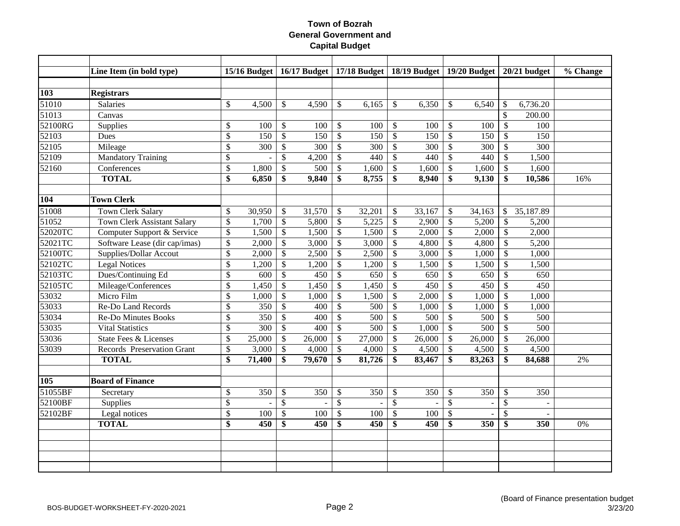|         | Line Item (in bold type)           |                         |                  |                           |        |                          |        |                           |                |                           |                |                           | 15/16 Budget   16/17 Budget   17/18 Budget   18/19 Budget   19/20 Budget   20/21 budget | % Change |
|---------|------------------------------------|-------------------------|------------------|---------------------------|--------|--------------------------|--------|---------------------------|----------------|---------------------------|----------------|---------------------------|-----------------------------------------------------------------------------------------|----------|
|         |                                    |                         |                  |                           |        |                          |        |                           |                |                           |                |                           |                                                                                         |          |
| 103     | <b>Registrars</b>                  |                         |                  |                           |        |                          |        |                           |                |                           |                |                           |                                                                                         |          |
| 51010   | Salaries                           | $\$$                    | 4,500            | \$                        | 4,590  | \$                       | 6,165  | \$                        | 6,350          | \$                        | 6,540          | \$                        | 6,736.20                                                                                |          |
| 51013   | Canvas                             |                         |                  |                           |        |                          |        |                           |                |                           |                | $\mathbb{S}$              | 200.00                                                                                  |          |
| 52100RG | Supplies                           | $\$$                    | 100              | $\$\,$                    | 100    | $\$$                     | 100    | $\boldsymbol{\mathsf{S}}$ | 100            | $\boldsymbol{\mathsf{S}}$ | 100            | $\mathcal{S}$             | 100                                                                                     |          |
| 52103   | Dues                               | $\overline{\$}$         | 150              | $\mathbb{S}$              | 150    | $\overline{\$}$          | 150    | $\mathcal{S}$             | 150            | $\mathcal{S}$             | 150            | $\mathcal{S}$             | 150                                                                                     |          |
| 52105   | Mileage                            | $\$$                    | 300              | $\mathbb{S}$              | 300    | $\mathbb{S}$             | 300    | $\mathcal{S}$             | 300            | $\mathcal{S}$             | 300            | $\boldsymbol{\mathsf{S}}$ | 300                                                                                     |          |
| 52109   | <b>Mandatory Training</b>          | \$                      |                  | \$                        | 4,200  | $\mathbb{S}$             | 440    | $\mathcal{S}$             | 440            | $\sqrt{3}$                | 440            | \$                        | 1,500                                                                                   |          |
| 52160   | Conferences                        | $\$$                    | 1,800            | \$                        | 500    | \$                       | 1,600  | \$                        | 1,600          | $\sqrt{3}$                | 1,600          | \$                        | 1,600                                                                                   |          |
|         | <b>TOTAL</b>                       | $\overline{\$}$         | 6,850            | \$                        | 9,840  | \$                       | 8,755  | \$                        | 8,940          | \$                        | 9,130          | \$                        | 10,586                                                                                  | 16%      |
|         |                                    |                         |                  |                           |        |                          |        |                           |                |                           |                |                           |                                                                                         |          |
| 104     | <b>Town Clerk</b>                  |                         |                  |                           |        |                          |        |                           |                |                           |                |                           |                                                                                         |          |
| 51008   | Town Clerk Salary                  | $\$$                    | 30,950           | \$                        | 31,570 | \$                       | 32,201 | \$                        | 33,167         | $\mathcal{S}$             | 34,163         | $\mathbb{S}$              | 35,187.89                                                                               |          |
| 51052   | <b>Town Clerk Assistant Salary</b> | $\overline{\mathbb{S}}$ | 1,700            | $\overline{\mathcal{L}}$  | 5,800  | $\mathbb{S}$             | 5,225  | $\boldsymbol{\mathsf{S}}$ | 2,900          | $\mathcal{S}$             | 5,200          | $\boldsymbol{\mathsf{S}}$ | 5,200                                                                                   |          |
| 52020TC | Computer Support & Service         | $\$$                    | 1,500            | $\boldsymbol{\mathsf{S}}$ | 1,500  | \$                       | 1,500  | $\mathcal{S}$             | 2,000          | $\sqrt{3}$                | 2,000          | $\mathcal{S}$             | 2,000                                                                                   |          |
| 52021TC | Software Lease (dir cap/imas)      | $\$$                    | 2,000            | \$                        | 3,000  | \$                       | 3,000  | $\mathcal{S}$             | 4,800          | $\sqrt{3}$                | 4,800          | $\mathcal{S}$             | 5,200                                                                                   |          |
| 52100TC | <b>Supplies/Dollar Accout</b>      | \$                      | 2,000            | $\mathsf{\$}$             | 2,500  | $\mathbb{S}$             | 2,500  | $\mathcal{S}$             | 3,000          | $\mathcal{S}$             | 1,000          | $\mathcal{S}$             | 1,000                                                                                   |          |
| 52102TC | <b>Legal Notices</b>               | $\$$                    | 1,200            | $\$$                      | 1,200  | \$                       | 1,200  | $\mathcal{S}$             | 1,500          | $\mathcal{S}$             | 1,500          | $\mathcal{S}$             | 1,500                                                                                   |          |
| 52103TC | Dues/Continuing Ed                 | $\mathbb{S}$            | 600              | $\mathcal{S}$             | 450    | $\mathbb{S}$             | 650    | $\mathcal{S}$             | 650            | $\sqrt{3}$                | 650            | $\mathcal{S}$             | 650                                                                                     |          |
| 52105TC | Mileage/Conferences                | $\mathbb{S}$            | 1,450            | \$                        | 1,450  | \$                       | 1,450  | $\mathcal{S}$             | 450            | $\mathcal{S}$             | 450            | $\mathcal{S}$             | 450                                                                                     |          |
| 53032   | Micro Film                         | $\$$                    | 1,000            | \$                        | 1,000  | \$                       | 1,500  | \$                        | 2,000          | $\boldsymbol{\mathsf{S}}$ | 1,000          | \$                        | 1,000                                                                                   |          |
| 53033   | Re-Do Land Records                 | $\overline{\$}$         | 350              | \$                        | 400    | \$                       | 500    | \$                        | 1,000          | $\sqrt{3}$                | 1,000          | $\mathcal{S}$             | 1,000                                                                                   |          |
| 53034   | <b>Re-Do Minutes Books</b>         | \$                      | 350              | $\$$                      | 400    | $\overline{\$}$          | 500    | $\boldsymbol{\mathsf{S}}$ | 500            | $\sqrt{3}$                | 500            | $\mathcal{S}$             | 500                                                                                     |          |
| 53035   | <b>Vital Statistics</b>            | \$                      | $\overline{300}$ | $\overline{\mathcal{S}}$  | 400    | $\overline{\mathcal{S}}$ | 500    | $\mathcal{S}$             | 1,000          | $\sqrt[6]{\frac{1}{2}}$   | 500            | $\overline{\mathcal{S}}$  | 500                                                                                     |          |
| 53036   | <b>State Fees &amp; Licenses</b>   | \$                      | 25,000           | $\$\,$                    | 26,000 | $\$$                     | 27,000 | $\mathcal{S}$             | 26,000         | $\boldsymbol{\mathsf{S}}$ | 26,000         | $\mathcal{S}$             | 26,000                                                                                  |          |
| 53039   | Records Preservation Grant         | $\overline{\$}$         | 3,000            | $\mathcal{S}$             | 4,000  | \$                       | 4,000  | $\boldsymbol{\mathsf{S}}$ | 4,500          | $\boldsymbol{\mathsf{S}}$ | 4,500          | $\mathcal{S}$             | 4,500                                                                                   |          |
|         | <b>TOTAL</b>                       | \$                      | 71,400           | \$                        | 79,670 | \$                       | 81,726 | \$                        | 83,467         | \$                        | 83,263         | $\mathbf{\$}$             | 84,688                                                                                  | 2%       |
|         |                                    |                         |                  |                           |        |                          |        |                           |                |                           |                |                           |                                                                                         |          |
| 105     | <b>Board of Finance</b>            |                         |                  |                           |        |                          |        |                           |                |                           |                |                           |                                                                                         |          |
| 51055BF | Secretary                          | $\$$                    | 350              | $\$\,$                    | 350    | $\$$                     | 350    | $\boldsymbol{\mathsf{S}}$ | 350            | $\boldsymbol{\mathsf{S}}$ | 350            | $\mathcal{S}$             | 350                                                                                     |          |
| 52100BF | <b>Supplies</b>                    | \$                      |                  | $\mathbb{S}$              | $\sim$ | $\mathbb{S}$             |        | $\mathcal{S}$             | $\blacksquare$ | $\mathcal{S}$             | $\blacksquare$ | $\mathbb{S}$              | $\sim$                                                                                  |          |
| 52102BF | Legal notices                      | \$                      | 100              | \$                        | 100    | \$                       | 100    | $\mathcal{S}$             | 100            | \$                        |                | $\mathcal{S}$             | $\sim$                                                                                  |          |
|         | <b>TOTAL</b>                       | \$                      | 450              | \$                        | 450    | \$                       | 450    | \$                        | 450            | \$                        | 350            | \$                        | 350                                                                                     | 0%       |
|         |                                    |                         |                  |                           |        |                          |        |                           |                |                           |                |                           |                                                                                         |          |
|         |                                    |                         |                  |                           |        |                          |        |                           |                |                           |                |                           |                                                                                         |          |
|         |                                    |                         |                  |                           |        |                          |        |                           |                |                           |                |                           |                                                                                         |          |
|         |                                    |                         |                  |                           |        |                          |        |                           |                |                           |                |                           |                                                                                         |          |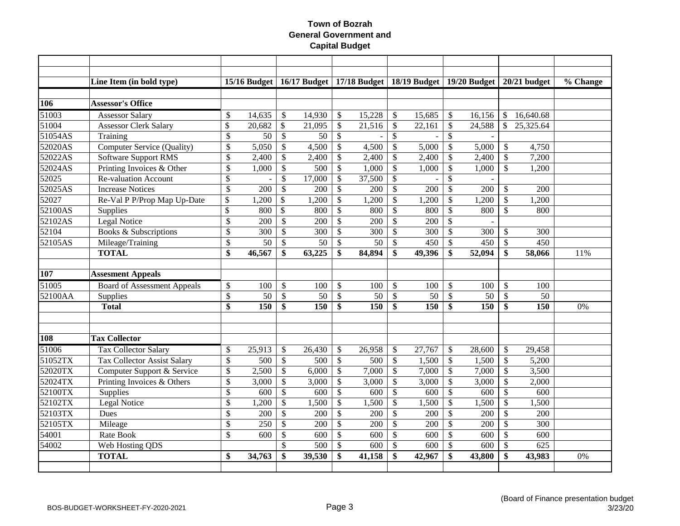|            | Line Item (in bold type)           |                           | 15/16 Budget |                          |        |                         | 16/17 Budget   17/18 Budget   18/19 Budget   19/20 Budget |                           |        |                           |        |                           | 20/21 budget | % Change |
|------------|------------------------------------|---------------------------|--------------|--------------------------|--------|-------------------------|-----------------------------------------------------------|---------------------------|--------|---------------------------|--------|---------------------------|--------------|----------|
|            |                                    |                           |              |                          |        |                         |                                                           |                           |        |                           |        |                           |              |          |
| <b>106</b> | <b>Assessor's Office</b>           |                           |              |                          |        |                         |                                                           |                           |        |                           |        |                           |              |          |
| 51003      | <b>Assessor Salary</b>             | \$                        | 14,635       | \$                       | 14,930 | \$                      | 15,228                                                    | $\mathcal{S}$             | 15,685 | $\mathcal{S}$             | 16,156 | $\mathbb{S}$              | 16,640.68    |          |
| 51004      | <b>Assessor Clerk Salary</b>       | \$                        | 20,682       | $\mathbb{S}$             | 21,095 | \$                      | 21,516                                                    | $\boldsymbol{\mathsf{S}}$ | 22,161 | $\boldsymbol{\mathsf{S}}$ | 24,588 | $\mathbb{S}$              | 25,325.64    |          |
| 51054AS    | Training                           | \$                        | 50           | $\mathcal{S}$            | 50     | \$                      |                                                           | $\mathcal{S}$             |        | $\boldsymbol{\mathsf{S}}$ |        |                           |              |          |
| 52020AS    | Computer Service (Quality)         | \$                        | 5,050        | \$                       | 4,500  | \$                      | 4,500                                                     | $\mathcal{S}$             | 5,000  | $\boldsymbol{\mathsf{S}}$ | 5,000  | $\boldsymbol{\mathsf{S}}$ | 4,750        |          |
| 52022AS    | <b>Software Support RMS</b>        | \$                        | 2,400        | \$                       | 2,400  | \$                      | 2,400                                                     | \$                        | 2,400  | $\boldsymbol{\mathsf{S}}$ | 2,400  | $\mathcal{S}$             | 7,200        |          |
| 52024AS    | Printing Invoices & Other          | \$                        | 1,000        | \$                       | 500    | \$                      | 1,000                                                     | \$                        | 1,000  | $\boldsymbol{\mathsf{S}}$ | 1,000  | $\mathcal{S}$             | 1,200        |          |
| 52025      | <b>Re-valuation Account</b>        | \$                        |              | \$                       | 17,000 | \$                      | 37,500                                                    | $\mathcal{S}$             |        | \$                        |        |                           |              |          |
| 52025AS    | <b>Increase Notices</b>            | $\overline{\$}$           | 200          | $\mathsf{\$}$            | 200    | \$                      | 200                                                       | $\mathcal{S}$             | 200    | $\mathcal{S}$             | 200    | $\mathcal{S}$             | 200          |          |
| 52027      | Re-Val P P/Prop Map Up-Date        | \$                        | 1,200        | $\mathcal{S}$            | 1,200  | \$                      | 1,200                                                     | $\boldsymbol{\mathsf{S}}$ | 1,200  | $\mathcal{S}$             | 1,200  | $\mathcal{S}$             | 1,200        |          |
| 52100AS    | Supplies                           | $\boldsymbol{\mathsf{S}}$ | 800          | $\overline{\mathcal{S}}$ | 800    | \$                      | 800                                                       | $\mathcal{S}$             | 800    | $\mathcal{S}$             | 800    | $\mathcal{S}$             | 800          |          |
| 52102AS    | Legal Notice                       | \$                        | 200          | \$                       | 200    | $\mathbb{S}$            | 200                                                       | $\mathcal{S}$             | 200    | $\boldsymbol{\mathsf{S}}$ |        |                           |              |          |
| 52104      | Books & Subscriptions              | \$                        | 300          | \$                       | 300    | \$                      | 300                                                       | $\mathcal{S}$             | 300    | $\sqrt{3}$                | 300    | $\mathcal{S}$             | 300          |          |
| 52105AS    | Mileage/Training                   | \$                        | 50           | \$                       | 50     | \$                      | 50                                                        | $\boldsymbol{\mathsf{S}}$ | 450    | $\mathcal{S}$             | 450    | $\mathcal{S}$             | 450          |          |
|            | <b>TOTAL</b>                       | \$                        | 46,567       | \$                       | 63,225 | \$                      | 84,894                                                    | \$                        | 49,396 | \$                        | 52,094 | \$                        | 58,066       | 11%      |
|            |                                    |                           |              |                          |        |                         |                                                           |                           |        |                           |        |                           |              |          |
| 107        | <b>Assesment Appeals</b>           |                           |              |                          |        |                         |                                                           |                           |        |                           |        |                           |              |          |
| 51005      | <b>Board of Assessment Appeals</b> | \$                        | 100          | \$                       | 100    | \$                      | 100                                                       | $\boldsymbol{\mathsf{S}}$ | 100    | $\mathcal{S}$             | 100    | $\mathcal{S}$             | 100          |          |
| 52100AA    | Supplies                           | \$                        | 50           | $\mathcal{S}$            | 50     | \$                      | 50                                                        | $\boldsymbol{\mathsf{S}}$ | 50     | $\mathcal{S}$             | 50     | $\mathcal{S}$             | 50           |          |
|            | <b>Total</b>                       | $\overline{\$}$           | 150          | \$                       | 150    | $\overline{\mathbf{s}}$ | 150                                                       | \$                        | 150    | \$                        | 150    | $\mathbf{\$}$             | 150          | 0%       |
|            |                                    |                           |              |                          |        |                         |                                                           |                           |        |                           |        |                           |              |          |
|            |                                    |                           |              |                          |        |                         |                                                           |                           |        |                           |        |                           |              |          |
| 108        | <b>Tax Collector</b>               |                           |              |                          |        |                         |                                                           |                           |        |                           |        |                           |              |          |
| 51006      | <b>Tax Collector Salary</b>        | \$                        | 25,913       | $\mathcal{S}$            | 26,430 | \$                      | 26,958                                                    | \$                        | 27,767 | $\mathcal{S}$             | 28,600 | $\mathcal{S}$             | 29,458       |          |
| 51052TX    | <b>Tax Collector Assist Salary</b> | \$                        | 500          | $\mathbb{S}$             | 500    | \$                      | 500                                                       | $\mathcal{S}$             | 1,500  | $\sqrt{3}$                | 1,500  | $\mathcal{S}$             | 5,200        |          |
| 52020TX    | Computer Support & Service         | \$                        | 2,500        | \$                       | 6,000  | $\mathcal{S}$           | 7,000                                                     | $\mathbb{S}$              | 7,000  | $\sqrt{3}$                | 7,000  | $\mathcal{S}$             | 3,500        |          |
| 52024TX    | Printing Invoices & Others         | \$                        | 3,000        | \$                       | 3,000  | \$                      | 3,000                                                     | $\boldsymbol{\mathsf{S}}$ | 3,000  | $\mathcal{S}$             | 3,000  | $\boldsymbol{\mathsf{S}}$ | 2,000        |          |
| 52100TX    | Supplies                           | \$                        | 600          | \$                       | 600    | \$                      | 600                                                       | $\mathcal{S}$             | 600    | $\boldsymbol{\mathsf{S}}$ | 600    | $\mathcal{S}$             | 600          |          |
| 52102TX    | Legal Notice                       | \$                        | 1,200        | \$                       | 1,500  | \$                      | 1,500                                                     | $\boldsymbol{\mathsf{S}}$ | 1,500  | $\boldsymbol{\mathsf{S}}$ | 1,500  | $\mathcal{S}$             | 1,500        |          |
| 52103TX    | Dues                               | \$                        | 200          | \$                       | 200    | \$                      | 200                                                       | \$                        | 200    | $\mathcal{S}$             | 200    | $\mathcal{S}$             | 200          |          |
| 52105TX    | Mileage                            | \$                        | 250          | \$                       | 200    | \$                      | 200                                                       | $\boldsymbol{\mathsf{S}}$ | 200    | $\mathcal{S}$             | 200    | $\mathcal{S}$             | 300          |          |
| 54001      | Rate Book                          | $\mathbb{S}$              | 600          | \$                       | 600    | $\mathbb{S}$            | 600                                                       | $\mathcal{S}$             | 600    | $\sqrt{3}$                | 600    | $\mathcal{S}$             | 600          |          |
| 54002      | Web Hosting QDS                    |                           |              | \$                       | 500    | $\mathbb{S}$            | 600                                                       | $\boldsymbol{\mathsf{S}}$ | 600    | $\sqrt{3}$                | 600    | $\mathcal{S}$             | 625          |          |
|            | <b>TOTAL</b>                       | \$                        | 34,763       | \$                       | 39,530 | \$                      | 41,158                                                    | \$                        | 42,967 | \$                        | 43,800 | \$                        | 43,983       | 0%       |
|            |                                    |                           |              |                          |        |                         |                                                           |                           |        |                           |        |                           |              |          |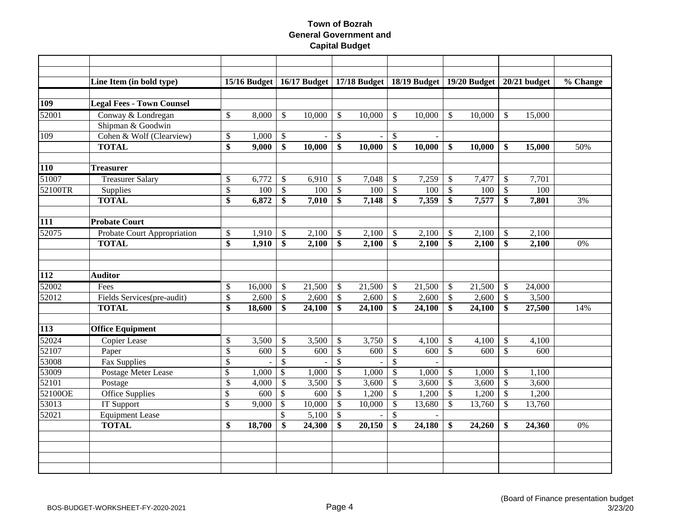|                  | Line Item (in bold type)         |                 | 15/16 Budget |                           |          |                          | 16/17 Budget   17/18 Budget   18/19 Budget   19/20 Budget |                           |                |                           |        |                           | $20/21$ budget | % Change |
|------------------|----------------------------------|-----------------|--------------|---------------------------|----------|--------------------------|-----------------------------------------------------------|---------------------------|----------------|---------------------------|--------|---------------------------|----------------|----------|
|                  |                                  |                 |              |                           |          |                          |                                                           |                           |                |                           |        |                           |                |          |
| <b>109</b>       | <b>Legal Fees - Town Counsel</b> |                 |              |                           |          |                          |                                                           |                           |                |                           |        |                           |                |          |
| 52001            | Conway & Londregan               | \$              | 8,000        | $\mathbb{S}$              | 10,000   | $\mathbb{S}$             | 10,000                                                    | $\mathcal{S}$             | 10,000         | $\mathbb{S}$              | 10,000 | $\mathcal{S}$             | 15,000         |          |
|                  | Shipman & Goodwin                |                 |              |                           |          |                          |                                                           |                           |                |                           |        |                           |                |          |
| 109              | Cohen & Wolf (Clearview)         | \$              | 1,000        | $\boldsymbol{\mathsf{S}}$ | $\equiv$ | \$                       | $\blacksquare$                                            | $\boldsymbol{\mathsf{S}}$ | $\blacksquare$ |                           |        |                           |                |          |
|                  | <b>TOTAL</b>                     | \$              | 9,000        | \$                        | 10,000   | \$                       | 10,000                                                    | \$                        | 10,000         | \$                        | 10,000 | \$                        | 15,000         | 50%      |
|                  |                                  |                 |              |                           |          |                          |                                                           |                           |                |                           |        |                           |                |          |
| <b>110</b>       | <b>Treasurer</b>                 |                 |              |                           |          |                          |                                                           |                           |                |                           |        |                           |                |          |
| 51007            | <b>Treasurer Salary</b>          | \$              | 6,772        | \$                        | 6,910    | \$                       | 7,048                                                     | \$                        | 7,259          | $\mathcal{S}$             | 7,477  | $\mathbb{S}$              | 7,701          |          |
| 52100TR          | Supplies                         | $\overline{\$}$ | 100          | $\mathcal{S}$             | 100      | $\overline{\mathcal{S}}$ | 100                                                       | $\mathcal{S}$             | 100            | $\sqrt{3}$                | 100    | $\mathcal{S}$             | 100            |          |
|                  | <b>TOTAL</b>                     | \$              | 6,872        | \$                        | 7,010    | \$                       | 7,148                                                     | \$                        | 7,359          | \$                        | 7,577  | \$                        | 7,801          | 3%       |
|                  |                                  |                 |              |                           |          |                          |                                                           |                           |                |                           |        |                           |                |          |
| $\overline{111}$ | <b>Probate Court</b>             |                 |              |                           |          |                          |                                                           |                           |                |                           |        |                           |                |          |
| 52075            | Probate Court Appropriation      | \$              | 1,910        | $\mathcal{S}$             | 2,100    | \$                       | 2,100                                                     | $\mathcal{S}$             | 2,100          | $\mathcal{S}$             | 2,100  | $\mathcal{S}$             | 2,100          |          |
|                  | <b>TOTAL</b>                     | \$              | 1,910        | \$                        | 2,100    | \$                       | 2,100                                                     | \$                        | 2,100          | \$                        | 2,100  | $\boldsymbol{\mathsf{s}}$ | 2,100          | 0%       |
|                  |                                  |                 |              |                           |          |                          |                                                           |                           |                |                           |        |                           |                |          |
|                  |                                  |                 |              |                           |          |                          |                                                           |                           |                |                           |        |                           |                |          |
| 112              | <b>Auditor</b>                   |                 |              |                           |          |                          |                                                           |                           |                |                           |        |                           |                |          |
| 52002            | Fees                             | \$              | 16,000       | \$                        | 21,500   | \$                       | 21,500                                                    | \$                        | 21,500         | $\sqrt[6]{\frac{1}{2}}$   | 21,500 | \$                        | 24,000         |          |
| 52012            | Fields Services(pre-audit)       | \$              | 2,600        | $\mathbb{S}$              | 2,600    | \$                       | 2,600                                                     | $\boldsymbol{\mathsf{S}}$ | 2,600          | $\boldsymbol{\mathsf{S}}$ | 2,600  | $\mathcal{S}$             | 3,500          |          |
|                  | <b>TOTAL</b>                     | $\overline{\$}$ | 18,600       | $\overline{\$}$           | 24,100   | \$                       | 24,100                                                    | \$                        | 24,100         | \$                        | 24,100 | \$                        | 27,500         | 14%      |
|                  |                                  |                 |              |                           |          |                          |                                                           |                           |                |                           |        |                           |                |          |
| $\overline{113}$ | <b>Office Equipment</b>          |                 |              |                           |          |                          |                                                           |                           |                |                           |        |                           |                |          |
| 52024            | <b>Copier Lease</b>              | \$              | 3,500        | $\mathbb{S}$              | 3,500    | \$                       | 3,750                                                     | $\boldsymbol{\mathsf{S}}$ | 4,100          | $\boldsymbol{\mathsf{S}}$ | 4,100  | $\mathcal{S}$             | 4,100          |          |
| 52107            | Paper                            | \$              | 600          | $\mathbb{S}$              | 600      | $\$$                     | 600                                                       | $\mathcal{S}$             | 600            | $\mathcal{S}$             | 600    | $\mathcal{S}$             | 600            |          |
| 53008            | Fax Supplies                     | \$              |              | $\overline{\mathcal{S}}$  |          | $\overline{\$}$          |                                                           | $\mathcal{S}$             |                |                           |        |                           |                |          |
| 53009            | Postage Meter Lease              | \$              | 1,000        | $\mathcal{S}$             | 1,000    | $\mathbb{S}$             | 1,000                                                     | $\mathcal{S}$             | 1,000          | $\sqrt{3}$                | 1,000  | $\mathcal{S}$             | 1,100          |          |
| 52101            | Postage                          | \$              | 4,000        | $\mathbb{S}$              | 3,500    | $\mathbb{S}$             | 3,600                                                     | $\mathcal{S}$             | 3,600          | $\sqrt{3}$                | 3,600  | $\mathcal{S}$             | 3,600          |          |
| 52100OE          | Office Supplies                  | \$              | 600          | $\mathsf{\$}$             | 600      | $\mathsf{\$}$            | 1,200                                                     | $\mathcal{S}$             | 1,200          | $\sqrt{3}$                | 1,200  | $\mathcal{S}$             | 1,200          |          |
| 53013            | <b>IT Support</b>                | \$              | 9,000        | $\mathsf{\$}$             | 10,000   | $\mathbb{S}$             | 10,000                                                    | $\mathcal{S}$             | 13,680         | $\sqrt{3}$                | 13,760 | $\boldsymbol{\mathsf{S}}$ | 13,760         |          |
| 52021            | <b>Equipment Lease</b>           |                 |              | $\mathcal{S}$             | 5,100    | \$                       |                                                           | $\mathcal{S}$             |                |                           |        |                           |                |          |
|                  | <b>TOTAL</b>                     | \$              | 18,700       | \$                        | 24,300   | \$                       | 20,150                                                    | \$                        | 24,180         | \$                        | 24,260 | \$                        | 24,360         | 0%       |
|                  |                                  |                 |              |                           |          |                          |                                                           |                           |                |                           |        |                           |                |          |
|                  |                                  |                 |              |                           |          |                          |                                                           |                           |                |                           |        |                           |                |          |
|                  |                                  |                 |              |                           |          |                          |                                                           |                           |                |                           |        |                           |                |          |
|                  |                                  |                 |              |                           |          |                          |                                                           |                           |                |                           |        |                           |                |          |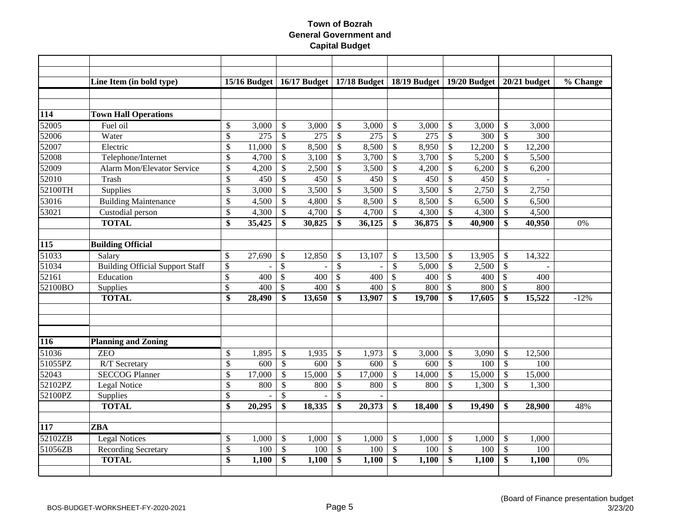|                  | Line Item (in bold type)               |                 | $15/16$ Budget |                 |        |                           | 16/17 Budget   17/18 Budget   18/19 Budget   19/20 Budget   20/21 budget |                           |        |                           |        |                           |        | $\overline{\%}$ Change |
|------------------|----------------------------------------|-----------------|----------------|-----------------|--------|---------------------------|--------------------------------------------------------------------------|---------------------------|--------|---------------------------|--------|---------------------------|--------|------------------------|
|                  |                                        |                 |                |                 |        |                           |                                                                          |                           |        |                           |        |                           |        |                        |
| 114              | <b>Town Hall Operations</b>            |                 |                |                 |        |                           |                                                                          |                           |        |                           |        |                           |        |                        |
| 52005            | Fuel oil                               | \$              | 3,000          | \$              | 3,000  | \$                        | 3,000                                                                    | \$                        | 3,000  | \$                        | 3,000  | $\mathcal{S}$             | 3,000  |                        |
| 52006            | Water                                  | \$              | 275            | \$              | 275    | \$                        | 275                                                                      | $\mathcal{S}$             | 275    | $\boldsymbol{\mathsf{S}}$ | 300    | $\mathcal{S}$             | 300    |                        |
| 52007            | Electric                               | \$              | 11,000         | \$              | 8,500  | \$                        | 8,500                                                                    | \$                        | 8,950  | $\mathcal{S}$             | 12,200 | $\mathcal{S}$             | 12,200 |                        |
| 52008            | Telephone/Internet                     | \$              | 4,700          | \$              | 3,100  | \$                        | 3,700                                                                    | $\mathcal{S}$             | 3,700  | $\boldsymbol{\mathsf{S}}$ | 5,200  | $\mathcal{S}$             | 5,500  |                        |
| 52009            | <b>Alarm Mon/Elevator Service</b>      | $\overline{\$}$ | 4,200          | $\overline{\$}$ | 2,500  | \$                        | 3,500                                                                    | $\mathcal{S}$             | 4,200  | $\mathcal{S}$             | 6,200  | $\mathcal{S}$             | 6,200  |                        |
| 52010            | Trash                                  | \$              | 450            | $\mathcal{S}$   | 450    | \$                        | 450                                                                      | $\mathcal{S}$             | 450    | $\mathcal{S}$             | 450    | $\mathcal{S}$             |        |                        |
| 52100TH          | Supplies                               | \$              | 3,000          | $\mathbb{S}$    | 3,500  | $\mathbb{S}$              | 3,500                                                                    | $\mathcal{S}$             | 3,500  | $\mathcal{S}$             | 2,750  | $\mathcal{S}$             | 2,750  |                        |
| 53016            | <b>Building Maintenance</b>            | \$              | 4,500          | $\mathbb{S}$    | 4,800  | \$                        | 8,500                                                                    | \$                        | 8,500  | $\mathcal{S}$             | 6,500  | $\mathcal{S}$             | 6,500  |                        |
| 53021            | Custodial person                       | \$              | 4,300          | $\mathbb{S}$    | 4,700  | \$                        | 4,700                                                                    | $\mathcal{S}$             | 4,300  | $\mathcal{S}$             | 4,300  | $\mathcal{S}$             | 4,500  |                        |
|                  | <b>TOTAL</b>                           | \$              | 35,425         | \$              | 30,825 | \$                        | 36,125                                                                   | \$                        | 36,875 | \$                        | 40,900 | $\mathbf{\$}$             | 40,950 | 0%                     |
|                  |                                        |                 |                |                 |        |                           |                                                                          |                           |        |                           |        |                           |        |                        |
| $\overline{115}$ | <b>Building Official</b>               |                 |                |                 |        |                           |                                                                          |                           |        |                           |        |                           |        |                        |
| 51033            | Salary                                 | \$              | 27,690         | $\mathcal{S}$   | 12,850 | \$                        | 13,107                                                                   | $\mathcal{S}$             | 13,500 | <sup>\$</sup>             | 13,905 | $\mathcal{S}$             | 14,322 |                        |
| 51034            | <b>Building Official Support Staff</b> | $\mathcal{S}$   |                | $\mathcal{S}$   |        | \$                        |                                                                          | $\mathcal{S}$             | 5,000  | $\boldsymbol{\mathsf{S}}$ | 2,500  | $\mathcal{S}$             |        |                        |
| 52161            | Education                              | $\mathcal{S}$   | 400            | $\mathcal{S}$   | 400    | $\mathcal{S}$             | 400                                                                      | $\mathbb{S}$              | 400    | $\boldsymbol{\mathsf{S}}$ | 400    | $\mathbb{S}$              | 400    |                        |
| 52100BO          | Supplies                               | \$              | 400            | $\mathcal{S}$   | 400    | \$                        | 400                                                                      | $\mathcal{S}$             | 800    | $\mathcal{S}$             | 800    | $\mathcal{S}$             | 800    |                        |
|                  | <b>TOTAL</b>                           | \$              | 28,490         | \$              | 13,650 | \$                        | 13,907                                                                   | \$                        | 19,700 | \$                        | 17,605 | \$                        | 15,522 | $-12%$                 |
|                  |                                        |                 |                |                 |        |                           |                                                                          |                           |        |                           |        |                           |        |                        |
|                  |                                        |                 |                |                 |        |                           |                                                                          |                           |        |                           |        |                           |        |                        |
|                  |                                        |                 |                |                 |        |                           |                                                                          |                           |        |                           |        |                           |        |                        |
| 116              | <b>Planning and Zoning</b>             |                 |                |                 |        |                           |                                                                          |                           |        |                           |        |                           |        |                        |
| 51036            | <b>ZEO</b>                             | \$              | 1,895          | \$              | 1,935  | \$                        | 1,973                                                                    | \$                        | 3,000  | $\mathcal{S}$             | 3,090  | $\mathcal{S}$             | 12,500 |                        |
| 51055PZ          | R/T Secretary                          | \$              | 600            | $\mathbb{S}$    | 600    | $\mathcal{S}$             | 600                                                                      | $\mathcal{S}$             | 600    | $\mathcal{S}$             | 100    | $\mathcal{S}$             | 100    |                        |
| 52043            | <b>SECCOG Planner</b>                  | \$              | 17,000         | $\mathbb{S}$    | 15,000 | \$                        | 17,000                                                                   | $\mathcal{S}$             | 14,000 | $\mathcal{S}$             | 15,000 | $\boldsymbol{\mathsf{S}}$ | 15,000 |                        |
| 52102PZ          | Legal Notice                           | \$              | 800            | \$              | 800    | \$                        | 800                                                                      | $\mathcal{S}$             | 800    | $\mathcal{S}$             | 1,300  | $\mathcal{S}$             | 1,300  |                        |
| 52100PZ          | Supplies                               | \$              |                | \$              |        | \$                        |                                                                          |                           |        |                           |        |                           |        |                        |
|                  | <b>TOTAL</b>                           | $\overline{\$}$ | 20,295         | \$              | 18,335 | \$                        | 20,373                                                                   | \$                        | 18,400 | -\$                       | 19,490 | \$                        | 28,900 | 48%                    |
|                  |                                        |                 |                |                 |        |                           |                                                                          |                           |        |                           |        |                           |        |                        |
| 117              | <b>ZBA</b>                             |                 |                |                 |        |                           |                                                                          |                           |        |                           |        |                           |        |                        |
| 52102ZB          | <b>Legal Notices</b>                   | \$              | 1,000          | \$              | 1,000  | \$                        | 1,000                                                                    | $\mathcal{S}$             | 1,000  | $\mathcal{S}$             | 1,000  | $\mathcal{S}$             | 1,000  |                        |
| 51056ZB          | <b>Recording Secretary</b>             | \$              | 100            | $\$\,$          | 100    | $\boldsymbol{\mathsf{S}}$ | 100                                                                      | $\boldsymbol{\mathsf{S}}$ | 100    | $\sqrt[6]{\frac{1}{2}}$   | 100    | $\mathcal{S}$             | 100    |                        |
|                  | <b>TOTAL</b>                           | \$              | 1,100          | \$              | 1,100  | \$                        | 1,100                                                                    | \$                        | 1,100  | $\mathbf{s}$              | 1,100  | $\mathbf{\$}$             | 1,100  | 0%                     |
|                  |                                        |                 |                |                 |        |                           |                                                                          |                           |        |                           |        |                           |        |                        |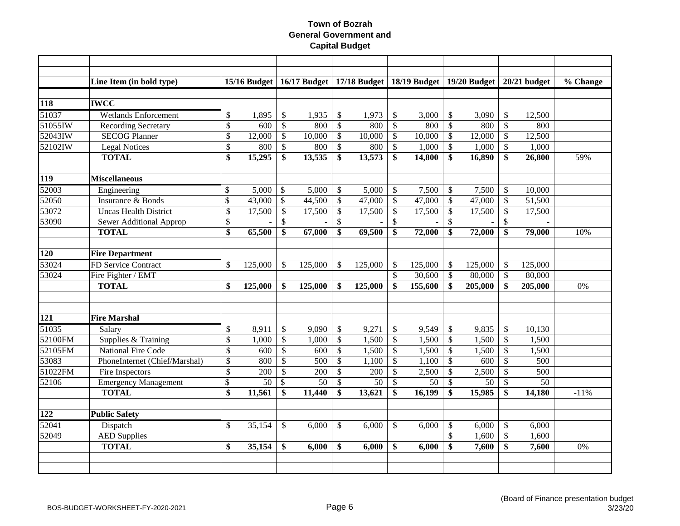|                  | Line Item (in bold type)       |               |         |                           |         |              |         |                           | 15/16 Budget   16/17 Budget   17/18 Budget   18/19 Budget   19/20 Budget |                           |         |               | $20/21$ budget | $\overline{\%}$ Change |
|------------------|--------------------------------|---------------|---------|---------------------------|---------|--------------|---------|---------------------------|--------------------------------------------------------------------------|---------------------------|---------|---------------|----------------|------------------------|
|                  |                                |               |         |                           |         |              |         |                           |                                                                          |                           |         |               |                |                        |
| 118              | <b>IWCC</b>                    |               |         |                           |         |              |         |                           |                                                                          |                           |         |               |                |                        |
| 51037            | <b>Wetlands Enforcement</b>    | $\$$          | 1,895   | $\boldsymbol{\mathsf{S}}$ | 1,935   | \$           | 1,973   | $\mathcal{S}$             | 3,000                                                                    | $\boldsymbol{\mathsf{S}}$ | 3,090   | $\mathcal{S}$ | 12,500         |                        |
| 51055            | <b>Recording Secretary</b>     | \$            | 600     | $\mathbb{S}$              | 800     | $\mathbb{S}$ | 800     | $\mathcal{S}$             | 800                                                                      | $\mathcal{S}$             | 800     | $\mathcal{S}$ | 800            |                        |
| 52043IW          | <b>SECOG Planner</b>           | \$            | 12,000  | \$                        | 10,000  | \$           | 10,000  | $\mathcal{S}$             | 10,000                                                                   | \$                        | 12,000  | \$            | 12,500         |                        |
| 52102IW          | <b>Legal Notices</b>           | \$            | 800     | \$                        | 800     | \$           | 800     | $\mathcal{S}$             | 1,000                                                                    | \$                        | 1,000   | $\mathcal{S}$ | 1,000          |                        |
|                  | <b>TOTAL</b>                   | \$            | 15,295  | \$                        | 13,535  | \$           | 13,573  | \$                        | 14,800                                                                   | \$                        | 16,890  | \$            | 26,800         | 59%                    |
| <b>119</b>       | <b>Miscellaneous</b>           |               |         |                           |         |              |         |                           |                                                                          |                           |         |               |                |                        |
| 52003            | Engineering                    | \$            | 5,000   | $\mathcal{S}$             | 5,000   | \$           | 5,000   | $\mathcal{S}$             | 7,500                                                                    | $\mathcal{S}$             | 7,500   | $\mathcal{S}$ | 10,000         |                        |
| 52050            | Insurance & Bonds              | \$            | 43,000  | $\boldsymbol{\mathsf{S}}$ | 44,500  | $\$$         | 47,000  | $\boldsymbol{\mathsf{S}}$ | 47,000                                                                   | $\boldsymbol{\mathsf{S}}$ | 47,000  | $\mathcal{S}$ | 51,500         |                        |
| 53072            | <b>Uncas Health District</b>   | \$            | 17,500  | $\mathcal{S}$             | 17,500  | \$           | 17,500  | \$                        | 17,500                                                                   | $\mathcal{S}$             | 17,500  | $\mathcal{S}$ | 17,500         |                        |
| 53090            | <b>Sewer Additional Approp</b> | \$            |         | \$                        |         | \$           |         | $\mathcal{S}$             |                                                                          | $\frac{1}{2}$             |         | \$            |                |                        |
|                  | <b>TOTAL</b>                   | \$            | 65,500  | \$                        | 67,000  | \$           | 69,500  | \$                        | 72,000                                                                   | \$                        | 72,000  | \$            | 79,000         | 10%                    |
|                  |                                |               |         |                           |         |              |         |                           |                                                                          |                           |         |               |                |                        |
| $\overline{120}$ | <b>Fire Department</b>         |               |         |                           |         |              |         |                           |                                                                          |                           |         |               |                |                        |
| 53024            | FD Service Contract            | \$            | 125,000 | $\mathbb{S}$              | 125,000 | S.           | 125,000 | $\mathcal{S}$             | 125,000                                                                  | -S                        | 125,000 | <sup>\$</sup> | 125,000        |                        |
| 53024            | Fire Fighter / EMT             |               |         |                           |         |              |         | \$                        | 30,600                                                                   | $\boldsymbol{\mathsf{S}}$ | 80,000  | $\mathcal{S}$ | 80,000         |                        |
|                  | <b>TOTAL</b>                   | \$            | 125,000 | \$                        | 125,000 | \$           | 125,000 | \$                        | 155,600                                                                  | \$                        | 205,000 | \$            | 205,000        | 0%                     |
|                  |                                |               |         |                           |         |              |         |                           |                                                                          |                           |         |               |                |                        |
| $\overline{121}$ | <b>Fire Marshal</b>            |               |         |                           |         |              |         |                           |                                                                          |                           |         |               |                |                        |
| 51035            | Salary                         | $\$$          | 8,911   | $\$\,$                    | 9,090   | \$           | 9,271   | $\mathcal{S}$             | 9,549                                                                    | \$                        | 9,835   | $\mathcal{S}$ | 10,130         |                        |
| 52100FM          | Supplies & Training            | \$            | 1,000   | $\mathcal{S}$             | 1,000   | \$           | 1,500   | $\mathcal{S}$             | 1,500                                                                    | $\mathcal{S}$             | 1,500   | $\mathcal{S}$ | 1,500          |                        |
| 52105FM          | <b>National Fire Code</b>      | $\mathcal{S}$ | 600     | $\mathcal{S}$             | 600     | \$           | 1,500   | $\mathcal{S}$             | 1,500                                                                    | $\boldsymbol{\mathsf{S}}$ | 1,500   | $\mathcal{S}$ | 1,500          |                        |
| 53083            | PhoneInternet (Chief/Marshal)  | \$            | 800     | \$                        | 500     | \$           | 1,100   | $\mathcal{S}$             | 1,100                                                                    | $\boldsymbol{\mathsf{S}}$ | 600     | $\mathcal{S}$ | 500            |                        |
| 51022FM          | Fire Inspectors                | \$            | 200     | $\mathbb{S}$              | 200     | $\mathbb{S}$ | 200     | $\mathbb{S}$              | 2,500                                                                    | $\mathcal{S}$             | 2,500   | $\mathcal{S}$ | 500            |                        |
| 52106            | <b>Emergency Management</b>    | \$            | 50      | \$                        | 50      | \$           | 50      | $\mathcal{S}$             | 50                                                                       | $\mathcal{S}$             | 50      | $\mathcal{S}$ | 50             |                        |
|                  | <b>TOTAL</b>                   | \$            | 11,561  | \$                        | 11,440  | \$           | 13,621  | \$                        | 16,199                                                                   | \$                        | 15,985  | \$            | 14,180         | $-11%$                 |
|                  |                                |               |         |                           |         |              |         |                           |                                                                          |                           |         |               |                |                        |
| 122              | <b>Public Safety</b>           |               |         |                           |         |              |         |                           |                                                                          |                           |         |               |                |                        |
| 52041            | Dispatch                       | \$            | 35,154  | \$                        | 6,000   | \$           | 6,000   | \$                        | 6,000                                                                    | $\mathcal{S}$             | 6,000   | $\mathcal{S}$ | 6,000          |                        |
| 52049            | <b>AED Supplies</b>            |               |         |                           |         |              |         |                           |                                                                          | \$                        | 1,600   | $\mathcal{S}$ | 1,600          |                        |
|                  | <b>TOTAL</b>                   | \$            | 35,154  | \$                        | 6,000   | \$           | 6,000   | \$                        | 6,000                                                                    | \$                        | 7,600   | \$            | 7,600          | 0%                     |
|                  |                                |               |         |                           |         |              |         |                           |                                                                          |                           |         |               |                |                        |
|                  |                                |               |         |                           |         |              |         |                           |                                                                          |                           |         |               |                |                        |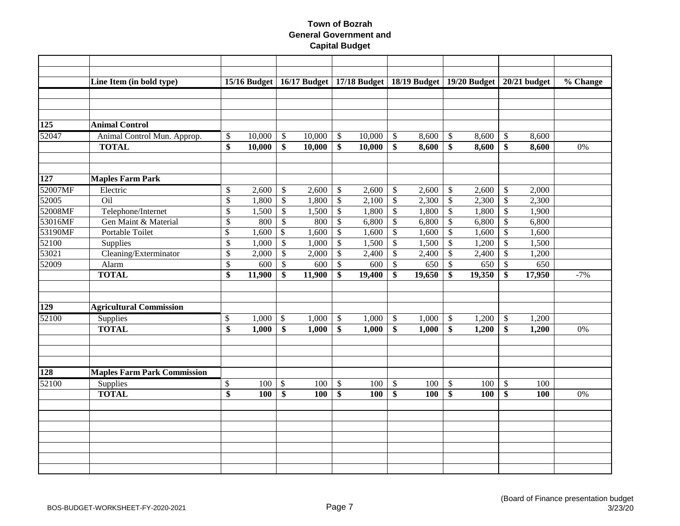|                  | Line Item (in bold type)                    |                 | $15/16$ Budget |                           |                  |                 | 16/17 Budget   17/18 Budget   18/19 Budget   19/20 Budget |                           |        |                                 |                |                           | $20/21$ budget | % Change |
|------------------|---------------------------------------------|-----------------|----------------|---------------------------|------------------|-----------------|-----------------------------------------------------------|---------------------------|--------|---------------------------------|----------------|---------------------------|----------------|----------|
|                  |                                             |                 |                |                           |                  |                 |                                                           |                           |        |                                 |                |                           |                |          |
|                  |                                             |                 |                |                           |                  |                 |                                                           |                           |        |                                 |                |                           |                |          |
| 125              | <b>Animal Control</b>                       |                 |                |                           |                  |                 |                                                           |                           |        |                                 |                |                           |                |          |
| 52047            |                                             |                 |                |                           |                  |                 |                                                           |                           |        |                                 |                |                           |                |          |
|                  | Animal Control Mun. Approp.<br><b>TOTAL</b> | \$              | 10,000         | $\mathcal{S}$<br>\$       | 10,000<br>10,000 | \$<br>\$        | 10,000                                                    | $\mathcal{S}$<br>\$       | 8,600  | $\boldsymbol{\mathsf{S}}$<br>\$ | 8,600<br>8,600 | \$<br>\$                  | 8,600          | 0%       |
|                  |                                             | \$              | 10,000         |                           |                  |                 | 10,000                                                    |                           | 8,600  |                                 |                |                           | 8,600          |          |
|                  |                                             |                 |                |                           |                  |                 |                                                           |                           |        |                                 |                |                           |                |          |
| 127              | <b>Maples Farm Park</b>                     |                 |                |                           |                  |                 |                                                           |                           |        |                                 |                |                           |                |          |
| 52007MF          | Electric                                    | \$              | 2,600          | $\mathbb{S}$              | 2,600            | \$              | 2,600                                                     | $\mathcal{S}$             | 2,600  | $\sqrt[6]{\frac{1}{2}}$         | 2,600          | $\mathcal{S}$             | 2,000          |          |
| 52005            | Oil                                         | $\overline{\$}$ | 1,800          | $\overline{\mathcal{S}}$  | 1,800            | $\overline{\$}$ | 2,100                                                     | $\mathcal{S}$             | 2,300  | $\mathcal{S}$                   | 2,300          | $\mathcal{S}$             | 2,300          |          |
| 52008MF          | Telephone/Internet                          | \$              | 1,500          | $\$$                      | 1,500            | $\$$            | 1,800                                                     | $\boldsymbol{\mathsf{S}}$ | 1,800  | $\boldsymbol{\mathsf{S}}$       | 1,800          | $\boldsymbol{\mathsf{S}}$ | 1,900          |          |
| 53016MF          | Gen Maint & Material                        | \$              | 800            | $\overline{\mathcal{S}}$  | 800              | $\mathbb{S}$    | 6,800                                                     | $\mathcal{S}$             | 6,800  | $\mathcal{S}$                   | 6,800          | $\mathcal{S}$             | 6,800          |          |
| 53190MF          | Portable Toilet                             | \$              | 1,600          | $\mathcal{S}$             | 1,600            | $\mathbb{S}$    | 1,600                                                     | $\mathbb{S}$              | 1,600  | $\mathcal{S}$                   | 1,600          | $\mathcal{S}$             | 1,600          |          |
| 52100            | Supplies                                    | \$              | 1,000          | $\mathbb{S}$              | 1,000            | $\mathsf{\$}$   | 1,500                                                     | $\mathcal{S}$             | 1,500  | $\boldsymbol{\mathsf{S}}$       | 1,200          | $\mathcal{S}$             | 1,500          |          |
| 53021            | Cleaning/Exterminator                       | \$              | 2,000          | $\mathcal{S}$             | 2,000            | \$              | 2,400                                                     | $\mathcal{S}$             | 2,400  | $\mathcal{S}$                   | 2,400          | $\mathcal{S}$             | 1,200          |          |
| 52009            | Alarm                                       | \$              | 600            | $\mathbb{S}$              | 600              | \$              | 600                                                       | $\mathcal{S}$             | 650    | $\boldsymbol{\mathsf{S}}$       | 650            | $\mathcal{S}$             | 650            |          |
|                  | <b>TOTAL</b>                                | \$              | 11,900         | \$                        | 11,900           | \$              | 19,400                                                    | \$                        | 19,650 | \$                              | 19,350         | \$                        | 17,950         | $-7%$    |
|                  |                                             |                 |                |                           |                  |                 |                                                           |                           |        |                                 |                |                           |                |          |
| $\overline{129}$ | <b>Agricultural Commission</b>              |                 |                |                           |                  |                 |                                                           |                           |        |                                 |                |                           |                |          |
| 52100            | Supplies                                    | \$              | 1,000          | $\boldsymbol{\mathsf{S}}$ | 1,000            | $\mathcal{S}$   | 1,000                                                     | $\mathcal{S}$             | 1,000  | -\$                             | 1,200          | $\sqrt{3}$                | 1,200          |          |
|                  | <b>TOTAL</b>                                | \$              | 1,000          | \$                        | 1,000            | \$              | 1,000                                                     | \$                        | 1,000  | \$                              | 1,200          | \$                        | 1,200          | 0%       |
|                  |                                             |                 |                |                           |                  |                 |                                                           |                           |        |                                 |                |                           |                |          |
|                  |                                             |                 |                |                           |                  |                 |                                                           |                           |        |                                 |                |                           |                |          |
|                  |                                             |                 |                |                           |                  |                 |                                                           |                           |        |                                 |                |                           |                |          |
| 128              | <b>Maples Farm Park Commission</b>          |                 |                |                           |                  |                 |                                                           |                           |        |                                 |                |                           |                |          |
| 52100            | Supplies                                    | \$              | 100            | $\$\,$                    | 100              | $\$$            | 100                                                       | $\boldsymbol{\mathsf{S}}$ | 100    | $\boldsymbol{\mathsf{S}}$       | 100            | $\boldsymbol{\mathsf{S}}$ | 100            |          |
|                  | <b>TOTAL</b>                                | $\overline{\$}$ | 100            | \$                        | 100              | \$              | 100                                                       | \$                        | 100    | \$                              | 100            | \$                        | 100            | 0%       |
|                  |                                             |                 |                |                           |                  |                 |                                                           |                           |        |                                 |                |                           |                |          |
|                  |                                             |                 |                |                           |                  |                 |                                                           |                           |        |                                 |                |                           |                |          |
|                  |                                             |                 |                |                           |                  |                 |                                                           |                           |        |                                 |                |                           |                |          |
|                  |                                             |                 |                |                           |                  |                 |                                                           |                           |        |                                 |                |                           |                |          |
|                  |                                             |                 |                |                           |                  |                 |                                                           |                           |        |                                 |                |                           |                |          |
|                  |                                             |                 |                |                           |                  |                 |                                                           |                           |        |                                 |                |                           |                |          |
|                  |                                             |                 |                |                           |                  |                 |                                                           |                           |        |                                 |                |                           |                |          |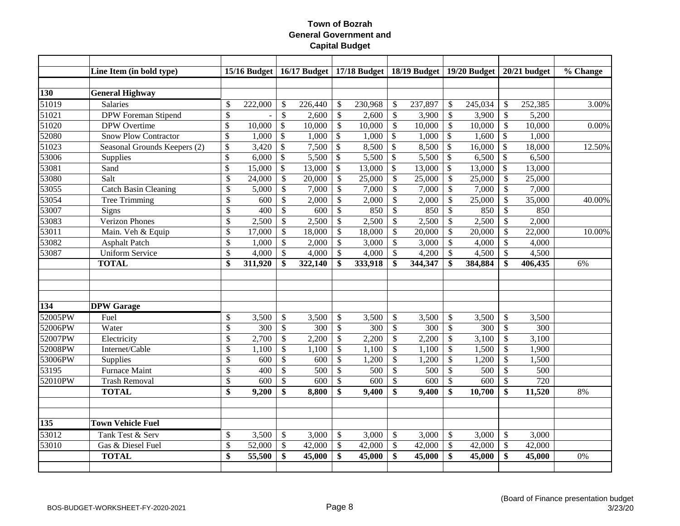|                    | Line Item (in bold type)     |                           | <b>15/16 Budget</b> |                                            |         |                           | 16/17 Budget   17/18 Budget   18/19 Budget   19/20 Budget |                           |         |                           |         |                           | $20/21$ budget | % Change |
|--------------------|------------------------------|---------------------------|---------------------|--------------------------------------------|---------|---------------------------|-----------------------------------------------------------|---------------------------|---------|---------------------------|---------|---------------------------|----------------|----------|
| <b>130</b>         | <b>General Highway</b>       |                           |                     |                                            |         |                           |                                                           |                           |         |                           |         |                           |                |          |
| 51019              | <b>Salaries</b>              | \$                        | 222,000             | \$                                         | 226,440 |                           | 230,968                                                   | $\boldsymbol{\mathsf{S}}$ | 237,897 | \$                        | 245,034 | \$                        | 252,385        | 3.00%    |
| $\overline{51021}$ | <b>DPW</b> Foreman Stipend   | \$                        |                     | $\mathbb{S}$                               | 2,600   | \$<br>$\mathcal{S}$       | 2,600                                                     | $\mathcal{S}$             | 3,900   | $\mathcal{S}$             | 3,900   | $\mathbb{S}$              | 5,200          |          |
| 51020              | <b>DPW</b> Overtime          | $\boldsymbol{\mathsf{S}}$ | 10,000              | $\boldsymbol{\mathsf{S}}$                  | 10,000  | $\boldsymbol{\mathsf{S}}$ | 10,000                                                    | $\mathcal{S}$             | 10,000  | $\boldsymbol{\mathsf{S}}$ | 10,000  | $\mathcal{S}$             | 10,000         | 0.00%    |
| 52080              | <b>Snow Plow Contractor</b>  | $\boldsymbol{\mathsf{S}}$ | 1,000               | $\boldsymbol{\mathsf{S}}$                  | 1,000   | \$                        | 1,000                                                     | $\mathbb{S}$              | 1,000   | \$                        | 1,600   | \$                        | 1,000          |          |
| $\overline{51023}$ | Seasonal Grounds Keepers (2) | $\boldsymbol{\mathsf{S}}$ | 3,420               | $\overline{\$}$                            | 7,500   | $\mathcal{S}$             | 8,500                                                     | $\mathbb{S}$              | 8,500   | \$                        | 16,000  | \$                        | 18,000         | 12.50%   |
| 53006              |                              |                           | 6,000               |                                            |         |                           |                                                           |                           |         |                           |         |                           | 6,500          |          |
|                    | Supplies                     | \$<br>\$                  |                     | $\boldsymbol{\mathsf{S}}$<br>$\mathcal{S}$ | 5,500   | \$                        | 5,500                                                     | \$                        | 5,500   | \$                        | 6,500   | \$                        |                |          |
| 53081              | Sand                         |                           | 15,000              |                                            | 13,000  | $\mathcal{S}$             | 13,000                                                    | \$                        | 13,000  | \$                        | 13,000  | \$                        | 13,000         |          |
| 53080              | Salt                         | \$                        | 24,000              | $\mathcal{S}$                              | 20,000  | $\mathcal{S}$             | 25,000                                                    | $\mathcal{S}$             | 25,000  | \$                        | 25,000  | $\mathcal{S}$             | 25,000         |          |
| 53055              | <b>Catch Basin Cleaning</b>  | \$                        | 5,000               | $\mathcal{S}$                              | 7,000   | \$                        | 7,000                                                     | $\mathcal{S}$             | 7,000   | $\boldsymbol{\mathsf{S}}$ | 7,000   | $\mathcal{S}$             | 7,000          |          |
| 53054              | Tree Trimming                | \$                        | 600                 | $\mathbb{S}$                               | 2,000   | \$                        | 2,000                                                     | $\mathcal{S}$             | 2,000   | \$                        | 25,000  | \$                        | 35,000         | 40.00%   |
| 53007              | Signs                        | \$                        | 400                 | $\mathcal{S}$                              | 600     | \$                        | 850                                                       | $\mathcal{S}$             | 850     | \$                        | 850     | $\mathcal{S}$             | 850            |          |
| 53083              | <b>Verizon Phones</b>        | \$                        | 2,500               | \$                                         | 2,500   | \$                        | 2,500                                                     | $\mathcal{S}$             | 2,500   | $\boldsymbol{\mathsf{S}}$ | 2,500   | $\mathbb{S}$              | 2,000          |          |
| 53011              | Main. Veh & Equip            | \$                        | 17,000              | \$                                         | 18,000  | \$                        | 18,000                                                    | $\mathcal{S}$             | 20,000  | \$                        | 20,000  | $\mathcal{S}$             | 22,000         | 10.00%   |
| 53082              | <b>Asphalt Patch</b>         | \$                        | 1,000               | \$                                         | 2,000   | \$                        | 3,000                                                     | $\mathcal{S}$             | 3,000   | \$                        | 4,000   | $\mathsf{\$}$             | 4,000          |          |
| 53087              | <b>Uniform Service</b>       | \$                        | 4,000               | \$                                         | 4,000   | \$                        | 4,000                                                     | $\mathcal{S}$             | 4,200   | \$                        | 4,500   | \$                        | 4,500          |          |
|                    | <b>TOTAL</b>                 | \$                        | 311,920             | \$                                         | 322,140 | \$                        | 333,918                                                   | $\mathbf{\$}$             | 344,347 | \$                        | 384,884 | \$                        | 406,435        | 6%       |
|                    |                              |                           |                     |                                            |         |                           |                                                           |                           |         |                           |         |                           |                |          |
|                    |                              |                           |                     |                                            |         |                           |                                                           |                           |         |                           |         |                           |                |          |
| 134                | <b>DPW</b> Garage            |                           |                     |                                            |         |                           |                                                           |                           |         |                           |         |                           |                |          |
| 52005PW            | Fuel                         | \$                        | 3,500               | \$                                         | 3,500   |                           | 3,500                                                     | $\mathcal{S}$             | 3,500   | \$                        | 3,500   | $\mathcal{S}$             | 3,500          |          |
| 52006PW            | Water                        |                           | 300                 |                                            | 300     | \$                        | 300                                                       | $\mathcal{S}$             |         |                           | 300     | $\mathcal{S}$             | 300            |          |
|                    |                              | \$                        |                     | \$                                         |         | $\mathcal{S}$             |                                                           |                           | 300     | $\mathcal{S}$             |         |                           |                |          |
| 52007PW            | Electricity                  | \$                        | 2,700               | \$                                         | 2,200   | \$                        | 2,200                                                     | $\mathcal{S}$             | 2,200   | $\boldsymbol{\mathsf{S}}$ | 3,100   | $\mathcal{S}$             | 3,100          |          |
| 52008PW            | Internet/Cable               | \$                        | 1,100               | \$                                         | 1,100   | \$                        | 1,100                                                     | $\mathcal{S}$             | 1,100   | \$                        | 1,500   | $\mathcal{S}$             | 1,900          |          |
| 53006PW            | Supplies                     | \$                        | 600                 | \$                                         | 600     | \$                        | 1,200                                                     | $\mathcal{S}$             | 1,200   | \$                        | 1,200   | $\mathcal{S}$             | 1,500          |          |
| 53195              | <b>Furnace Maint</b>         | \$                        | 400                 | \$                                         | 500     | \$                        | 500                                                       | $\mathcal{S}$             | 500     | \$                        | 500     | \$                        | 500            |          |
| 52010PW            | <b>Trash Removal</b>         | \$                        | 600                 | \$                                         | 600     | \$                        | 600                                                       | $\mathcal{S}$             | 600     | \$                        | 600     | \$                        | 720            |          |
|                    | <b>TOTAL</b>                 | $\overline{\$}$           | 9,200               | \$                                         | 8,800   | \$                        | 9,400                                                     | \$                        | 9,400   | \$                        | 10,700  | \$                        | 11,520         | 8%       |
|                    |                              |                           |                     |                                            |         |                           |                                                           |                           |         |                           |         |                           |                |          |
| 135                | <b>Town Vehicle Fuel</b>     |                           |                     |                                            |         |                           |                                                           |                           |         |                           |         |                           |                |          |
| 53012              | Tank Test & Serv             | \$                        | 3,500               | \$                                         | 3,000   | \$                        | 3,000                                                     | $\mathcal{S}$             | 3,000   | \$                        | 3,000   | $\boldsymbol{\mathsf{S}}$ | 3,000          |          |
| 53010              | Gas & Diesel Fuel            | \$                        | 52,000              | $\mathbb{S}$                               | 42,000  | $\mathbb{S}$              | 42,000                                                    | $\mathcal{S}$             | 42,000  | $\mathcal{S}$             | 42,000  | $\mathcal{S}$             | 42,000         |          |
|                    | <b>TOTAL</b>                 | \$                        | 55,500              | \$                                         | 45,000  | \$                        | 45,000                                                    | \$                        | 45,000  | \$                        | 45,000  | \$                        | 45,000         | 0%       |
|                    |                              |                           |                     |                                            |         |                           |                                                           |                           |         |                           |         |                           |                |          |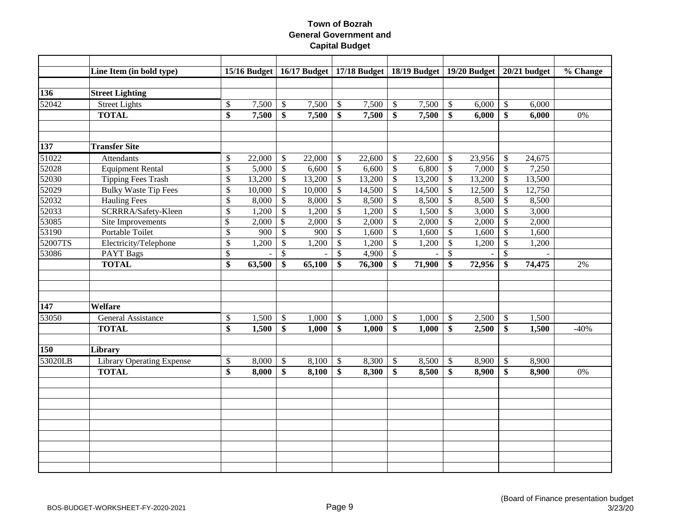|                  | Line Item (in bold type)         |              |        |               |        |                         |        |                           | 15/16 Budget   16/17 Budget   17/18 Budget   18/19 Budget   19/20 Budget   20/21 budget |                           |        |                           |        | % Change |
|------------------|----------------------------------|--------------|--------|---------------|--------|-------------------------|--------|---------------------------|-----------------------------------------------------------------------------------------|---------------------------|--------|---------------------------|--------|----------|
|                  |                                  |              |        |               |        |                         |        |                           |                                                                                         |                           |        |                           |        |          |
| $\overline{136}$ | <b>Street Lighting</b>           |              |        |               |        |                         |        |                           |                                                                                         |                           |        |                           |        |          |
| 52042            | <b>Street Lights</b>             | \$           | 7,500  | $\mathcal{L}$ | 7,500  | \$                      | 7,500  | $\mathcal{S}$             | 7,500                                                                                   | $\boldsymbol{\mathsf{S}}$ | 6,000  | \$                        | 6,000  |          |
|                  | <b>TOTAL</b>                     | \$           | 7,500  | \$            | 7,500  | \$                      | 7,500  | \$                        | 7,500                                                                                   | \$                        | 6,000  | \$                        | 6,000  | 0%       |
|                  |                                  |              |        |               |        |                         |        |                           |                                                                                         |                           |        |                           |        |          |
|                  |                                  |              |        |               |        |                         |        |                           |                                                                                         |                           |        |                           |        |          |
| 137              | <b>Transfer Site</b>             |              |        |               |        |                         |        |                           |                                                                                         |                           |        |                           |        |          |
| 51022            | <b>Attendants</b>                | $\$$         | 22,000 | \$            | 22,000 | \$                      | 22,600 | $\mathbb{S}$              | 22,600                                                                                  | $\boldsymbol{\mathsf{S}}$ | 23,956 | $\mathcal{S}$             | 24,675 |          |
| 52028            | <b>Equipment Rental</b>          | $\mathbb{S}$ | 5,000  | $\mathcal{S}$ | 6,600  | $\sqrt{\ }$             | 6,600  | $\mathbb{S}$              | 6,800                                                                                   | $\mathcal{S}$             | 7,000  | $\mathcal{S}$             | 7,250  |          |
| 52030            | <b>Tipping Fees Trash</b>        | \$           | 13,200 | $\$\,$        | 13,200 | $\$$                    | 13,200 | $\mathcal{S}$             | 13,200                                                                                  | $\boldsymbol{\mathsf{S}}$ | 13,200 | $\boldsymbol{\mathsf{S}}$ | 13,500 |          |
| 52029            | <b>Bulky Waste Tip Fees</b>      | $\$$         | 10,000 | $\$\,$        | 10,000 | \$                      | 14,500 | $\boldsymbol{\mathsf{S}}$ | 14,500                                                                                  | $\boldsymbol{\mathsf{S}}$ | 12,500 | $\boldsymbol{\mathsf{S}}$ | 12,750 |          |
| 52032            | <b>Hauling Fees</b>              | \$           | 8,000  | $\$$          | 8,000  | \$                      | 8,500  | $\mathsf{\$}$             | 8,500                                                                                   | $\boldsymbol{\mathsf{S}}$ | 8,500  | $\mathcal{S}$             | 8,500  |          |
| 52033            | SCRRRA/Safety-Kleen              | \$           | 1,200  | $\$$          | 1,200  | $\$$                    | 1,200  | $\boldsymbol{\mathsf{S}}$ | 1,500                                                                                   | $\boldsymbol{\mathsf{S}}$ | 3,000  | $\mathcal{S}$             | 3,000  |          |
| 53085            | Site Improvements                | \$           | 2,000  | $\sqrt{S}$    | 2,000  | $\$$                    | 2,000  | $\mathcal{S}$             | 2,000                                                                                   | $\sqrt[6]{3}$             | 2,000  | $\mathbb{S}$              | 2,000  |          |
| 53190            | Portable Toilet                  | \$           | 900    | $\mathbb{S}$  | 900    | $\$$                    | 1,600  | $\boldsymbol{\mathsf{S}}$ | 1,600                                                                                   | $\boldsymbol{\mathsf{S}}$ | 1,600  | $\boldsymbol{\mathsf{S}}$ | 1,600  |          |
| 52007TS          | Electricity/Telephone            | \$           | 1,200  | $\$$          | 1,200  | \$                      | 1,200  | $\mathcal{S}$             | 1,200                                                                                   | $\boldsymbol{\mathsf{S}}$ | 1,200  | $\boldsymbol{\mathsf{S}}$ | 1,200  |          |
| 53086            | <b>PAYT Bags</b>                 | \$           |        | \$            |        | \$                      | 4,900  | $\mathcal{S}$             |                                                                                         | $\boldsymbol{\mathsf{S}}$ |        | $\mathcal{S}$             |        |          |
|                  | <b>TOTAL</b>                     | \$           | 63,500 | \$            | 65,100 | \$                      | 76,300 | \$                        | 71,900                                                                                  | \$                        | 72,956 | \$                        | 74,475 | 2%       |
|                  |                                  |              |        |               |        |                         |        |                           |                                                                                         |                           |        |                           |        |          |
|                  |                                  |              |        |               |        |                         |        |                           |                                                                                         |                           |        |                           |        |          |
|                  |                                  |              |        |               |        |                         |        |                           |                                                                                         |                           |        |                           |        |          |
| 147              | Welfare                          |              |        |               |        |                         |        |                           |                                                                                         |                           |        |                           |        |          |
| 53050            | <b>General Assistance</b>        | \$           | 1,500  | $\mathcal{L}$ | 1,000  | $\sqrt[6]{\frac{1}{2}}$ | 1,000  | $\mathcal{S}$             | 1,000                                                                                   | $\mathcal{S}$             | 2,500  | $\mathcal{S}$             | 1,500  |          |
|                  | <b>TOTAL</b>                     | \$           | 1,500  | \$            | 1,000  | \$                      | 1,000  | \$                        | 1,000                                                                                   | \$                        | 2,500  | $\boldsymbol{\$}$         | 1,500  | $-40%$   |
|                  |                                  |              |        |               |        |                         |        |                           |                                                                                         |                           |        |                           |        |          |
| 150              | Library                          |              |        |               |        |                         |        |                           |                                                                                         |                           |        |                           |        |          |
| 53020LB          | <b>Library Operating Expense</b> | $\$$         | 8,000  | $\$\,$        | 8,100  | \$                      | 8,300  | $\mathcal{S}$             | 8,500                                                                                   | $\boldsymbol{\mathsf{S}}$ | 8,900  | $\mathcal{S}$             | 8,900  |          |
|                  | <b>TOTAL</b>                     | \$           | 8,000  | \$            | 8,100  | \$                      | 8,300  | \$                        | 8,500                                                                                   | \$                        | 8,900  | \$                        | 8,900  | 0%       |
|                  |                                  |              |        |               |        |                         |        |                           |                                                                                         |                           |        |                           |        |          |
|                  |                                  |              |        |               |        |                         |        |                           |                                                                                         |                           |        |                           |        |          |
|                  |                                  |              |        |               |        |                         |        |                           |                                                                                         |                           |        |                           |        |          |
|                  |                                  |              |        |               |        |                         |        |                           |                                                                                         |                           |        |                           |        |          |
|                  |                                  |              |        |               |        |                         |        |                           |                                                                                         |                           |        |                           |        |          |
|                  |                                  |              |        |               |        |                         |        |                           |                                                                                         |                           |        |                           |        |          |
|                  |                                  |              |        |               |        |                         |        |                           |                                                                                         |                           |        |                           |        |          |
|                  |                                  |              |        |               |        |                         |        |                           |                                                                                         |                           |        |                           |        |          |
|                  |                                  |              |        |               |        |                         |        |                           |                                                                                         |                           |        |                           |        |          |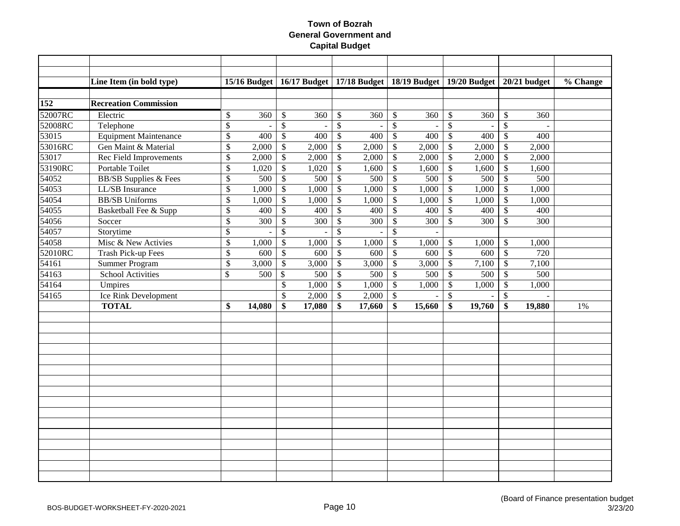|         | Line Item (in bold type)         |               |                          |                           |        |                 |        |                           | 15/16 Budget   16/17 Budget   17/18 Budget   18/19 Budget   19/20 Budget |                           |                          |                           | $20/21$ budget | % Change |
|---------|----------------------------------|---------------|--------------------------|---------------------------|--------|-----------------|--------|---------------------------|--------------------------------------------------------------------------|---------------------------|--------------------------|---------------------------|----------------|----------|
|         |                                  |               |                          |                           |        |                 |        |                           |                                                                          |                           |                          |                           |                |          |
| 152     | <b>Recreation Commission</b>     |               |                          |                           |        |                 |        |                           |                                                                          |                           |                          |                           |                |          |
| 52007RC | Electric                         | \$            | 360                      | \$                        | 360    | \$              | 360    | <sup>\$</sup>             | 360                                                                      | \$                        | 360                      | $\mathcal{S}$             | 360            |          |
| 52008RC | Telephone                        | \$            | $\overline{\phantom{a}}$ | $\$$                      |        | \$              |        | $\boldsymbol{\mathsf{S}}$ |                                                                          | \$                        | $\overline{\phantom{a}}$ | $\boldsymbol{\mathsf{S}}$ |                |          |
| 53015   | <b>Equipment Maintenance</b>     | \$            | 400                      | $\$$                      | 400    | $\mathbb{S}$    | 400    | $\mathcal{S}$             | 400                                                                      | $\mathcal{S}$             | 400                      | $\mathcal{S}$             | 400            |          |
| 53016RC | Gen Maint & Material             | \$            | 2,000                    | $\$\,$                    | 2,000  | $\overline{\$}$ | 2,000  | $\boldsymbol{\mathsf{S}}$ | $\overline{2,000}$                                                       | $\boldsymbol{\mathsf{S}}$ | 2,000                    | $\boldsymbol{\mathsf{S}}$ | 2,000          |          |
| 53017   | <b>Rec Field Improvements</b>    | \$            | 2,000                    | $\overline{\$}$           | 2,000  | $\overline{\$}$ | 2,000  | $\mathsf{\$}$             | 2,000                                                                    | $\overline{\$}$           | 2,000                    | $\boldsymbol{\mathsf{S}}$ | 2,000          |          |
| 53190RC | Portable Toilet                  | \$            | 1,020                    | \$                        | 1,020  | $\overline{\$}$ | 1,600  | $\boldsymbol{\mathsf{S}}$ | 1,600                                                                    | $\boldsymbol{\mathsf{S}}$ | 1,600                    | $\boldsymbol{\mathsf{S}}$ | 1,600          |          |
| 54052   | <b>BB/SB Supplies &amp; Fees</b> | \$            | 500                      | $\overline{\$}$           | 500    | $\overline{\$}$ | 500    | \$                        | 500                                                                      | $\boldsymbol{\mathsf{S}}$ | 500                      | $\overline{\mathcal{S}}$  | 500            |          |
| 54053   | LL/SB Insurance                  | \$            | 1,000                    | $\boldsymbol{\mathsf{S}}$ | 1,000  | $\mathbb{S}$    | 1,000  | $\mathsf{\$}$             | 1,000                                                                    | $\boldsymbol{\mathsf{S}}$ | 1,000                    | $\mathcal{S}$             | 1,000          |          |
| 54054   | <b>BB/SB</b> Uniforms            | \$            | 1,000                    | $\$$                      | 1,000  | \$              | 1,000  | $\mathsf{\$}$             | 1,000                                                                    | $\boldsymbol{\mathsf{S}}$ | 1,000                    | $\boldsymbol{\mathsf{S}}$ | 1,000          |          |
| 54055   | Basketball Fee & Supp            | \$            | 400                      | \$                        | 400    | $\$$            | 400    | $\boldsymbol{\mathsf{S}}$ | 400                                                                      | $\boldsymbol{\mathsf{S}}$ | 400                      | $\boldsymbol{\mathsf{S}}$ | 400            |          |
| 54056   | Soccer                           | \$            | 300                      | \$                        | 300    | $\$$            | 300    | $\mathsf{\$}$             | 300                                                                      | $\boldsymbol{\mathsf{S}}$ | 300                      | $\mathcal{S}$             | 300            |          |
| 54057   | Storytime                        | \$            | $\sim$                   | $\$$                      |        | $\overline{\$}$ |        | $\mathcal{S}$             |                                                                          |                           |                          |                           |                |          |
| 54058   | Misc & New Activies              | \$            | 1,000                    | $\overline{\mathcal{L}}$  | 1,000  | $\$$            | 1,000  | $\mathcal{S}$             | 1,000                                                                    | $\boldsymbol{\mathsf{S}}$ | 1,000                    | \$                        | 1,000          |          |
| 52010RC | Trash Pick-up Fees               | \$            | 600                      | $\$$                      | 600    | $\$$            | 600    | $\$$                      | 600                                                                      | $\boldsymbol{\mathsf{S}}$ | 600                      | $\mathcal{S}$             | 720            |          |
| 54161   | Summer Program                   | \$            | 3,000                    | $\mathcal{S}$             | 3,000  | \$              | 3,000  | \$                        | 3,000                                                                    | $\mathcal{S}$             | 7,100                    | $\mathcal{S}$             | 7,100          |          |
| 54163   | <b>School Activities</b>         | $\mathcal{S}$ | 500                      | $\mathcal{S}$             | 500    | \$              | 500    | $\mathcal{S}$             | 500                                                                      | $\boldsymbol{\mathsf{S}}$ | 500                      | $\mathcal{S}$             | 500            |          |
| 54164   | Umpires                          |               |                          | \$                        | 1,000  | \$              | 1,000  | $\mathsf{\$}$             | 1,000                                                                    | $\boldsymbol{\mathsf{S}}$ | 1,000                    | $\boldsymbol{\mathsf{S}}$ | 1,000          |          |
| 54165   | Ice Rink Development             |               |                          | \$                        | 2,000  | \$              | 2,000  | $\boldsymbol{\mathsf{S}}$ |                                                                          | $\$$                      | $\overline{\phantom{a}}$ | $\boldsymbol{\mathsf{S}}$ |                |          |
|         | <b>TOTAL</b>                     | \$            | 14,080                   | \$                        | 17,080 | \$              | 17,660 | \$                        | 15,660                                                                   | \$                        | 19,760                   | \$                        | 19,880         | 1%       |
|         |                                  |               |                          |                           |        |                 |        |                           |                                                                          |                           |                          |                           |                |          |
|         |                                  |               |                          |                           |        |                 |        |                           |                                                                          |                           |                          |                           |                |          |
|         |                                  |               |                          |                           |        |                 |        |                           |                                                                          |                           |                          |                           |                |          |
|         |                                  |               |                          |                           |        |                 |        |                           |                                                                          |                           |                          |                           |                |          |
|         |                                  |               |                          |                           |        |                 |        |                           |                                                                          |                           |                          |                           |                |          |
|         |                                  |               |                          |                           |        |                 |        |                           |                                                                          |                           |                          |                           |                |          |
|         |                                  |               |                          |                           |        |                 |        |                           |                                                                          |                           |                          |                           |                |          |
|         |                                  |               |                          |                           |        |                 |        |                           |                                                                          |                           |                          |                           |                |          |
|         |                                  |               |                          |                           |        |                 |        |                           |                                                                          |                           |                          |                           |                |          |
|         |                                  |               |                          |                           |        |                 |        |                           |                                                                          |                           |                          |                           |                |          |
|         |                                  |               |                          |                           |        |                 |        |                           |                                                                          |                           |                          |                           |                |          |
|         |                                  |               |                          |                           |        |                 |        |                           |                                                                          |                           |                          |                           |                |          |
|         |                                  |               |                          |                           |        |                 |        |                           |                                                                          |                           |                          |                           |                |          |
|         |                                  |               |                          |                           |        |                 |        |                           |                                                                          |                           |                          |                           |                |          |
|         |                                  |               |                          |                           |        |                 |        |                           |                                                                          |                           |                          |                           |                |          |
|         |                                  |               |                          |                           |        |                 |        |                           |                                                                          |                           |                          |                           |                |          |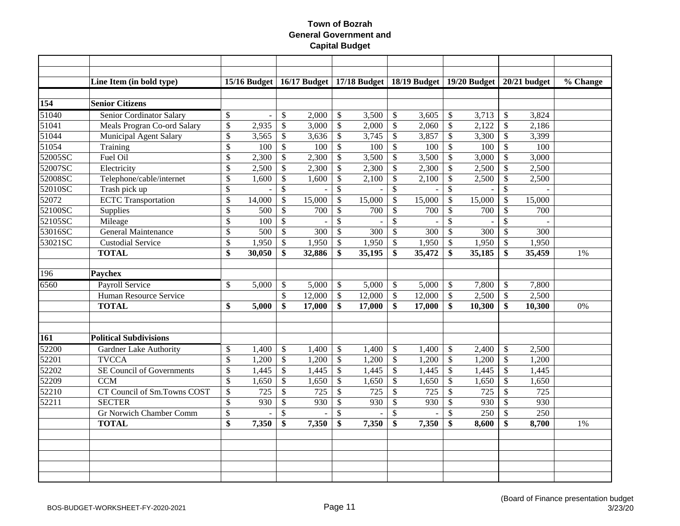|         | Line Item (in bold type)         |                          | $15/16$ Budget |                          |        |                          | 16/17 Budget   17/18 Budget   18/19 Budget   19/20 Budget   20/21 budget |                           |        |                           |        |                           |                  | $\sqrt[6]{6}$ Change |
|---------|----------------------------------|--------------------------|----------------|--------------------------|--------|--------------------------|--------------------------------------------------------------------------|---------------------------|--------|---------------------------|--------|---------------------------|------------------|----------------------|
|         |                                  |                          |                |                          |        |                          |                                                                          |                           |        |                           |        |                           |                  |                      |
| 154     | <b>Senior Citizens</b>           |                          |                |                          |        |                          |                                                                          |                           |        |                           |        |                           |                  |                      |
| 51040   | Senior Cordinator Salary         | \$                       | $\sim$         | \$                       | 2,000  | \$                       | 3,500                                                                    | $\mathcal{S}$             | 3,605  | $\mathcal{S}$             | 3,713  | $\mathcal{S}$             | 3,824            |                      |
| 51041   | Meals Progran Co-ord Salary      | \$                       | 2,935          | \$                       | 3,000  | \$                       | 2,000                                                                    | $\boldsymbol{\mathsf{S}}$ | 2,060  | $\boldsymbol{\mathsf{S}}$ | 2,122  | $\boldsymbol{\mathsf{S}}$ | 2,186            |                      |
| 51044   | Municipal Agent Salary           | \$                       | 3,565          | \$                       | 3,636  | \$                       | 3,745                                                                    | \$                        | 3,857  | $\boldsymbol{\mathsf{S}}$ | 3,300  | $\mathcal{S}$             | 3,399            |                      |
| 51054   | Training                         | \$                       | 100            | $\$$                     | 100    | $\mathsf{\$}$            | 100                                                                      | $\mathcal{S}$             | 100    | $\mathcal{S}$             | 100    | $\mathcal{S}$             | 100              |                      |
| 52005SC | Fuel Oil                         | $\overline{\$}$          | 2,300          | $\$$                     | 2,300  | $\$$                     | 3,500                                                                    | $\mathcal{S}$             | 3,500  | $\sqrt{3}$                | 3,000  | $\mathcal{S}$             | 3,000            |                      |
| 52007SC | Electricity                      | \$                       | 2,500          | \$                       | 2,300  | $\$$                     | 2,300                                                                    | $\mathcal{S}$             | 2,300  | $\boldsymbol{\mathsf{S}}$ | 2,500  | $\boldsymbol{\mathsf{S}}$ | 2,500            |                      |
| 52008SC | Telephone/cable/internet         | $\overline{\$}$          | 1,600          | $\mathbb{S}$             | 1,600  | $\overline{\$}$          | 2,100                                                                    | $\mathcal{S}$             | 2,100  | $\mathcal{S}$             | 2,500  | $\mathcal{S}$             | 2,500            |                      |
| 52010SC | Trash pick up                    | \$                       |                | $\mathcal{S}$            |        | $\overline{\$}$          |                                                                          | $\mathcal{S}$             |        | $\overline{\$}$           |        | $\mathcal{S}$             |                  |                      |
| 52072   | <b>ECTC</b> Transportation       | $\overline{\$}$          | 14,000         | $\overline{\mathcal{S}}$ | 15,000 | \$                       | 15,000                                                                   | $\mathcal{S}$             | 15,000 | $\mathcal{S}$             | 15,000 | $\mathcal{S}$             | 15,000           |                      |
| 52100SC | Supplies                         | \$                       | 500            | \$                       | 700    | \$                       | 700                                                                      | $\boldsymbol{\mathsf{S}}$ | 700    | $\boldsymbol{\mathsf{S}}$ | 700    | $\mathcal{S}$             | 700              |                      |
| 52105SC | Mileage                          | $\overline{\$}$          | 100            | $\overline{\mathcal{S}}$ |        | \$                       |                                                                          | $\mathcal{S}$             |        | $\mathcal{S}$             |        | $\mathcal{S}$             |                  |                      |
| 53016SC | <b>General Maintenance</b>       | \$                       | 500            | $\overline{\mathcal{S}}$ | 300    | $\overline{\mathcal{S}}$ | 300                                                                      | $\overline{\mathcal{S}}$  | 300    | $\sqrt[6]{3}$             | 300    | $\mathcal{S}$             | 300              |                      |
| 53021SC | <b>Custodial Service</b>         | $\overline{\mathcal{L}}$ | 1,950          | $\mathbb{S}$             | 1,950  | $\$$                     | 1,950                                                                    | $\boldsymbol{\mathsf{S}}$ | 1,950  | $\sqrt[6]{3}$             | 1,950  | $\boldsymbol{\mathsf{S}}$ | 1,950            |                      |
|         | <b>TOTAL</b>                     | \$                       | 30,050         | \$                       | 32,886 | \$                       | 35,195                                                                   | \$                        | 35,472 | \$                        | 35,185 | \$                        | 35,459           | 1%                   |
|         |                                  |                          |                |                          |        |                          |                                                                          |                           |        |                           |        |                           |                  |                      |
| 196     | <b>Paychex</b>                   |                          |                |                          |        |                          |                                                                          |                           |        |                           |        |                           |                  |                      |
| 6560    | <b>Payroll Service</b>           | \$                       | 5,000          | \$                       | 5,000  | \$                       | 5,000                                                                    | \$                        | 5,000  | $\mathcal{S}$             | 7,800  | $\boldsymbol{\mathsf{S}}$ | 7,800            |                      |
|         | Human Resource Service           |                          |                | \$                       | 12,000 | \$                       | 12,000                                                                   | $\mathcal{S}$             | 12,000 | $\boldsymbol{\mathsf{S}}$ | 2,500  | $\mathcal{S}$             | 2,500            |                      |
|         | <b>TOTAL</b>                     | \$                       | 5,000          | \$                       | 17,000 | \$                       | 17,000                                                                   | \$                        | 17,000 | \$                        | 10,300 | \$                        | 10,300           | 0%                   |
|         |                                  |                          |                |                          |        |                          |                                                                          |                           |        |                           |        |                           |                  |                      |
|         |                                  |                          |                |                          |        |                          |                                                                          |                           |        |                           |        |                           |                  |                      |
| 161     | <b>Political Subdivisions</b>    |                          |                |                          |        |                          |                                                                          |                           |        |                           |        |                           |                  |                      |
| 52200   | <b>Gardner Lake Authority</b>    | \$                       | 1,400          | $\mathcal{S}$            | 1,400  | \$                       | 1,400                                                                    | $\mathcal{S}$             | 1,400  | $\sqrt{3}$                | 2,400  | $\mathcal{S}$             | 2,500            |                      |
| 52201   | <b>TVCCA</b>                     | $\overline{\mathcal{S}}$ | 1,200          | $\mathbb{S}$             | 1,200  | $\mathbb{S}$             | 1,200                                                                    | $\mathcal{S}$             | 1,200  | $\mathcal{S}$             | 1,200  | $\mathcal{S}$             | 1,200            |                      |
| 52202   | <b>SE Council of Governments</b> | \$                       | 1,445          | $\mathbb{S}$             | 1,445  | $\$$                     | 1,445                                                                    | $\boldsymbol{\mathsf{S}}$ | 1,445  | $\boldsymbol{\mathsf{S}}$ | 1,445  | $\boldsymbol{\mathsf{S}}$ | 1,445            |                      |
| 52209   | <b>CCM</b>                       | \$                       | 1,650          | \$                       | 1,650  | \$                       | 1,650                                                                    | \$                        | 1,650  | $\boldsymbol{\mathsf{S}}$ | 1,650  | $\boldsymbol{\mathsf{S}}$ | 1,650            |                      |
| 52210   | CT Council of Sm.Towns COST      | \$                       | 725            | \$                       | 725    | $\$$                     | 725                                                                      | \$                        | 725    | $\boldsymbol{\mathsf{S}}$ | 725    | $\boldsymbol{\mathsf{S}}$ | 725              |                      |
| 52211   | <b>SECTER</b>                    | \$                       | 930            | \$                       | 930    | $\$$                     | 930                                                                      | $\boldsymbol{\mathsf{S}}$ | 930    | $\boldsymbol{\mathsf{S}}$ | 930    | $\mathcal{S}$             | 930              |                      |
|         | <b>Gr Norwich Chamber Comm</b>   | $\overline{\$}$          |                | $\overline{\$}$          |        | $\overline{\$}$          |                                                                          | $\mathcal{S}$             |        | \$                        | 250    | $\mathcal{S}$             | $\overline{250}$ |                      |
|         | <b>TOTAL</b>                     | \$                       | 7,350          | \$                       | 7,350  | \$                       | 7,350                                                                    | \$                        | 7,350  | \$                        | 8,600  | \$                        | 8,700            | 1%                   |
|         |                                  |                          |                |                          |        |                          |                                                                          |                           |        |                           |        |                           |                  |                      |
|         |                                  |                          |                |                          |        |                          |                                                                          |                           |        |                           |        |                           |                  |                      |
|         |                                  |                          |                |                          |        |                          |                                                                          |                           |        |                           |        |                           |                  |                      |
|         |                                  |                          |                |                          |        |                          |                                                                          |                           |        |                           |        |                           |                  |                      |
|         |                                  |                          |                |                          |        |                          |                                                                          |                           |        |                           |        |                           |                  |                      |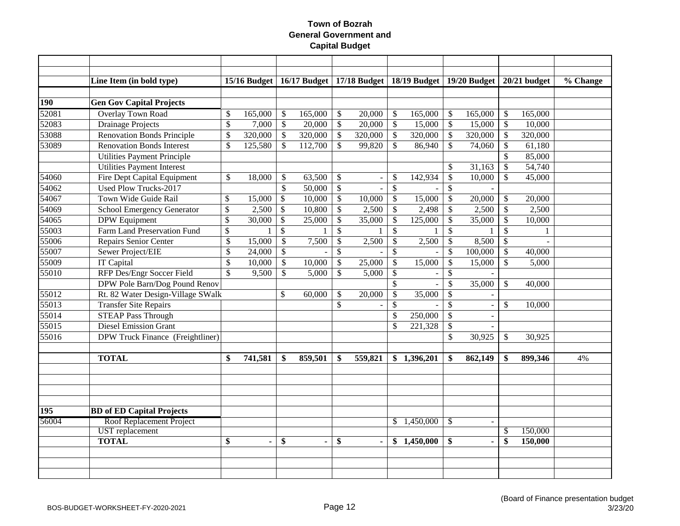|       | Line Item (in bold type)                |                    | $15/16$ Budget |                           |                |                           |                          |                           | 16/17 Budget   17/18 Budget   18/19 Budget   19/20 Budget |                           |         |                 | $20/21$ budget | % Change |
|-------|-----------------------------------------|--------------------|----------------|---------------------------|----------------|---------------------------|--------------------------|---------------------------|-----------------------------------------------------------|---------------------------|---------|-----------------|----------------|----------|
|       |                                         |                    |                |                           |                |                           |                          |                           |                                                           |                           |         |                 |                |          |
| 190   | <b>Gen Gov Capital Projects</b>         |                    |                |                           |                |                           |                          |                           |                                                           |                           |         |                 |                |          |
| 52081 | <b>Overlay Town Road</b>                | \$                 | 165,000        | $\boldsymbol{\mathsf{S}}$ | 165,000        | $\mathcal{S}$             | 20,000                   | $\mathcal{S}$             | 165,000                                                   | $\mathcal{S}$             | 165,000 | \$              | 165,000        |          |
| 52083 | <b>Drainage Projects</b>                | \$                 | 7,000          | $\mathbb{S}$              | 20,000         | $\boldsymbol{\mathsf{S}}$ | 20,000                   | $\mathcal{S}$             | 15,000                                                    | \$                        | 15,000  | \$              | 10,000         |          |
| 53088 | <b>Renovation Bonds Principle</b>       | \$                 | 320,000        | $\mathcal{S}$             | 320,000        | $\sqrt{\ }$               | 320,000                  | $\mathcal{S}$             | 320,000                                                   | \$                        | 320,000 | $\mathcal{S}$   | 320,000        |          |
| 53089 | <b>Renovation Bonds Interest</b>        | \$                 | 125,580        | $\mathcal{S}$             | 112,700        | $\boldsymbol{\mathsf{S}}$ | 99,820                   | $\mathcal{S}$             | 86,940                                                    | \$                        | 74,060  | $\mathcal{S}$   | 61,180         |          |
|       | <b>Utilities Payment Principle</b>      |                    |                |                           |                |                           |                          |                           |                                                           |                           |         | \$              | 85,000         |          |
|       | <b>Utilities Payment Interest</b>       |                    |                |                           |                |                           |                          |                           |                                                           | \$                        | 31,163  | $\mathcal{S}$   | 54,740         |          |
| 54060 | Fire Dept Capital Equipment             | \$                 | 18,000         | \$                        | 63,500         | \$                        | $\overline{a}$           | $\mathcal{S}$             | 142,934                                                   | \$                        | 10,000  | $\mathcal{S}$   | 45,000         |          |
| 54062 | <b>Used Plow Trucks-2017</b>            |                    |                | $\mathcal{S}$             | 50,000         | $\sqrt{\ }$               | $\sim$                   | $\mathcal{S}$             |                                                           | \$                        |         |                 |                |          |
| 54067 | Town Wide Guide Rail                    | \$                 | 15,000         | $\boldsymbol{\mathsf{S}}$ | 10,000         | \$                        | 10,000                   | $\mathcal{S}$             | 15,000                                                    | \$                        | 20,000  | \$              | 20,000         |          |
| 54069 | <b>School Emergency Generator</b>       | \$                 | 2,500          | $\$$                      | 10,800         | \$                        | 2,500                    | $\boldsymbol{\mathsf{S}}$ | 2,498                                                     | \$                        | 2,500   | $\mathcal{S}$   | 2,500          |          |
| 54065 | <b>DPW</b> Equipment                    | $\$\,$             | 30,000         | $\boldsymbol{\mathsf{S}}$ | 25,000         | \$                        | 35,000                   | $\mathcal{S}$             | 125,000                                                   | \$                        | 35,000  | $\mathcal{S}$   | 10,000         |          |
| 55003 | Farm Land Preservation Fund             | $\mathcal{S}$      | 1              | $\mathbb{S}$              | $\mathbf{1}$   | $\mathcal{S}$             |                          | $\mathcal{S}$             |                                                           | $\mathcal{S}$             |         | $\mathcal{S}$   | 1              |          |
| 55006 | Repairs Senior Center                   | \$                 | 15,000         | $\mathcal{S}$             | 7,500          | $\mathcal{S}$             | 2,500                    | $\mathcal{S}$             | 2,500                                                     | $\mathcal{S}$             | 8,500   | $\mathcal{S}$   |                |          |
| 55007 | Sewer Project/EIE                       | \$                 | 24,000         | $\mathcal{S}$             |                | $\boldsymbol{\mathsf{S}}$ |                          | $\mathcal{S}$             |                                                           | \$                        | 100,000 | $\mathcal{S}$   | 40,000         |          |
| 55009 | <b>IT Capital</b>                       | $\mathcal{S}$      | 10,000         | $\mathcal{S}$             | 10,000         | $\mathcal{S}$             | 25,000                   | $\mathcal{S}$             | 15,000                                                    | $\boldsymbol{\mathsf{S}}$ | 15,000  | $\mathcal{S}$   | 5,000          |          |
| 55010 | RFP Des/Engr Soccer Field               | $\mathbf{\hat{S}}$ | 9,500          | $\mathcal{S}$             | 5,000          | \$                        | 5,000                    | $\mathcal{S}$             |                                                           | $\boldsymbol{\mathsf{S}}$ |         |                 |                |          |
|       | DPW Pole Barn/Dog Pound Renov           |                    |                |                           |                |                           |                          | $\mathcal{S}$             |                                                           | $\mathcal{S}$             | 35,000  | $\mathcal{S}$   | 40,000         |          |
| 55012 | Rt. 82 Water Design-Village SWalk       |                    |                | $\mathcal{S}$             | 60,000         | \$                        | 20,000                   | $\mathcal{S}$             | 35,000                                                    | \$                        |         |                 |                |          |
| 55013 | <b>Transfer Site Repairs</b>            |                    |                |                           |                | \$                        | $\overline{\phantom{a}}$ | $\mathcal{S}$             |                                                           | \$                        |         | $\mathcal{S}$   | 10,000         |          |
| 55014 | <b>STEAP Pass Through</b>               |                    |                |                           |                |                           |                          | $\mathcal{S}$             | 250,000                                                   | $\boldsymbol{\mathsf{S}}$ |         |                 |                |          |
| 55015 | <b>Diesel Emission Grant</b>            |                    |                |                           |                |                           |                          | $\mathcal{S}$             | 221,328                                                   | \$                        |         |                 |                |          |
| 55016 | DPW Truck Finance (Freightliner)        |                    |                |                           |                |                           |                          |                           |                                                           | \$                        | 30,925  | \$              | 30,925         |          |
|       |                                         |                    |                |                           |                |                           |                          |                           |                                                           |                           |         |                 |                |          |
|       | <b>TOTAL</b>                            | \$                 | 741,581        | \$                        | 859,501        | \$                        | 559,821                  |                           | \$1,396,201                                               | \$                        | 862,149 | \$              | 899,346        | 4%       |
|       |                                         |                    |                |                           |                |                           |                          |                           |                                                           |                           |         |                 |                |          |
|       |                                         |                    |                |                           |                |                           |                          |                           |                                                           |                           |         |                 |                |          |
|       |                                         |                    |                |                           |                |                           |                          |                           |                                                           |                           |         |                 |                |          |
|       |                                         |                    |                |                           |                |                           |                          |                           |                                                           |                           |         |                 |                |          |
| 195   | <b>BD</b> of <b>ED</b> Capital Projects |                    |                |                           |                |                           |                          |                           |                                                           |                           |         |                 |                |          |
| 56004 | Roof Replacement Project                |                    |                |                           |                |                           |                          | <sup>\$</sup>             | 1,450,000                                                 | <sup>\$</sup>             |         |                 |                |          |
|       | <b>UST</b> replacement                  |                    |                |                           |                |                           |                          |                           |                                                           |                           |         | $\overline{\$}$ | 150,000        |          |
|       | <b>TOTAL</b>                            | \$                 |                | \$                        | $\blacksquare$ | \$                        | $\blacksquare$           |                           | \$1,450,000                                               | \$                        |         | \$              | 150,000        |          |
|       |                                         |                    |                |                           |                |                           |                          |                           |                                                           |                           |         |                 |                |          |
|       |                                         |                    |                |                           |                |                           |                          |                           |                                                           |                           |         |                 |                |          |
|       |                                         |                    |                |                           |                |                           |                          |                           |                                                           |                           |         |                 |                |          |